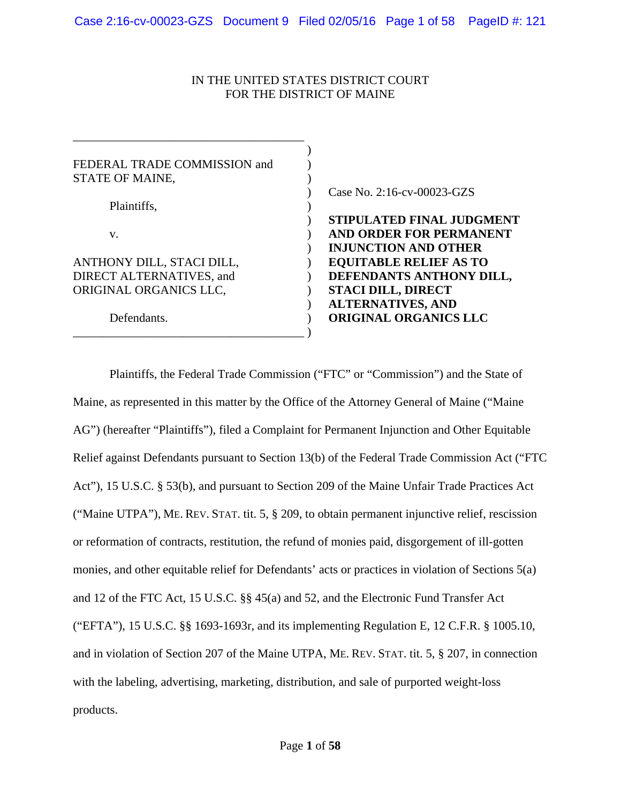# IN THE UNITED STATES DISTRICT COURT FOR THE DISTRICT OF MAINE

| FEDERAL TRADE COMMISSION and |                                  |
|------------------------------|----------------------------------|
| STATE OF MAINE,              |                                  |
|                              | Case No. 2:16-cv-00023-GZS       |
| Plaintiffs,                  |                                  |
|                              | <b>STIPULATED FINAL JUDGMENT</b> |
| V.                           | AND ORDER FOR PERMANENT          |
|                              | <b>INJUNCTION AND OTHER</b>      |
| ANTHONY DILL, STACI DILL,    | <b>EQUITABLE RELIEF AS TO</b>    |
| DIRECT ALTERNATIVES, and     | DEFENDANTS ANTHONY DILL,         |
| ORIGINAL ORGANICS LLC,       | <b>STACI DILL, DIRECT</b>        |
|                              | <b>ALTERNATIVES, AND</b>         |
| Defendants.                  | <b>ORIGINAL ORGANICS LLC</b>     |
|                              |                                  |

 Plaintiffs, the Federal Trade Commission ("FTC" or "Commission") and the State of Maine, as represented in this matter by the Office of the Attorney General of Maine ("Maine AG") (hereafter "Plaintiffs"), filed a Complaint for Permanent Injunction and Other Equitable Relief against Defendants pursuant to Section 13(b) of the Federal Trade Commission Act ("FTC Act"), 15 U.S.C. § 53(b), and pursuant to Section 209 of the Maine Unfair Trade Practices Act ("Maine UTPA"), ME. REV. STAT. tit. 5, § 209, to obtain permanent injunctive relief, rescission or reformation of contracts, restitution, the refund of monies paid, disgorgement of ill-gotten monies, and other equitable relief for Defendants' acts or practices in violation of Sections 5(a) and 12 of the FTC Act, 15 U.S.C. §§ 45(a) and 52, and the Electronic Fund Transfer Act ("EFTA"), 15 U.S.C. §§ 1693-1693r, and its implementing Regulation E, 12 C.F.R. § 1005.10, and in violation of Section 207 of the Maine UTPA, ME. REV. STAT. tit. 5, § 207, in connection with the labeling, advertising, marketing, distribution, and sale of purported weight-loss products.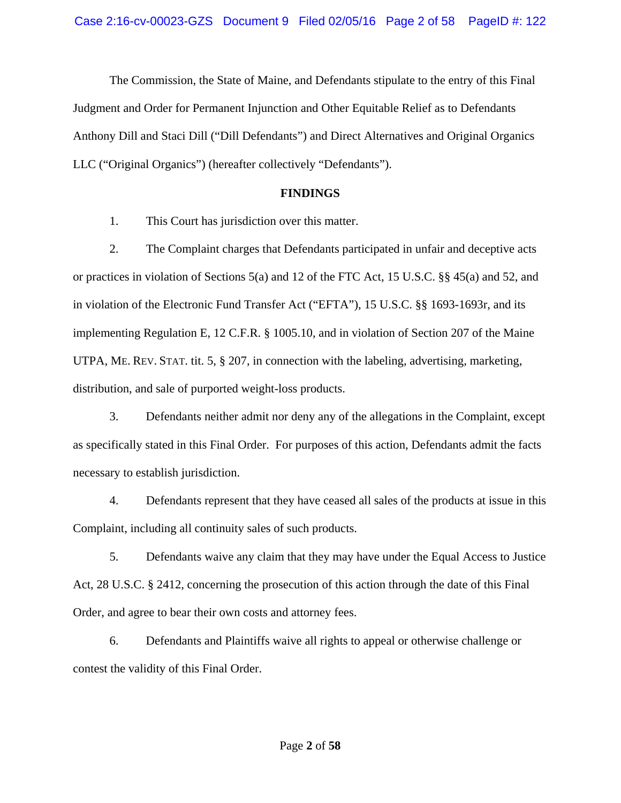The Commission, the State of Maine, and Defendants stipulate to the entry of this Final Judgment and Order for Permanent Injunction and Other Equitable Relief as to Defendants Anthony Dill and Staci Dill ("Dill Defendants") and Direct Alternatives and Original Organics LLC ("Original Organics") (hereafter collectively "Defendants").

### **FINDINGS**

1. This Court has jurisdiction over this matter.

 2. The Complaint charges that Defendants participated in unfair and deceptive acts or practices in violation of Sections 5(a) and 12 of the FTC Act, 15 U.S.C. §§ 45(a) and 52, and in violation of the Electronic Fund Transfer Act ("EFTA"), 15 U.S.C. §§ 1693-1693r, and its implementing Regulation E, 12 C.F.R. § 1005.10, and in violation of Section 207 of the Maine UTPA, ME. REV. STAT. tit. 5, § 207, in connection with the labeling, advertising, marketing, distribution, and sale of purported weight-loss products.

 3. Defendants neither admit nor deny any of the allegations in the Complaint, except as specifically stated in this Final Order. For purposes of this action, Defendants admit the facts necessary to establish jurisdiction.

 4. Defendants represent that they have ceased all sales of the products at issue in this Complaint, including all continuity sales of such products.

 5. Defendants waive any claim that they may have under the Equal Access to Justice Act, 28 U.S.C. § 2412, concerning the prosecution of this action through the date of this Final Order, and agree to bear their own costs and attorney fees.

 6. Defendants and Plaintiffs waive all rights to appeal or otherwise challenge or contest the validity of this Final Order.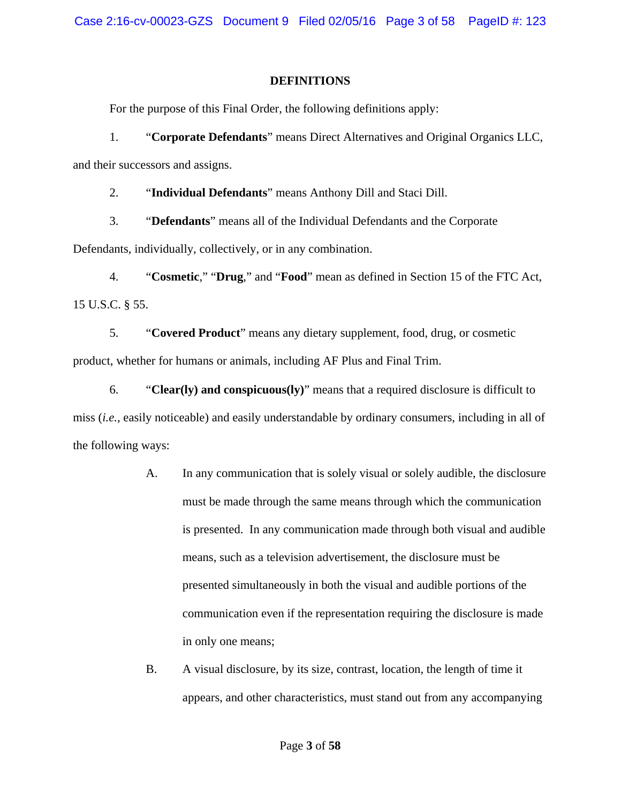# **DEFINITIONS**

For the purpose of this Final Order, the following definitions apply:

 1. "**Corporate Defendants**" means Direct Alternatives and Original Organics LLC, and their successors and assigns.

2. "**Individual Defendants**" means Anthony Dill and Staci Dill.

 3. "**Defendants**" means all of the Individual Defendants and the Corporate Defendants, individually, collectively, or in any combination.

 4. "**Cosmetic**," "**Drug**," and "**Food**" mean as defined in Section 15 of the FTC Act, 15 U.S.C. § 55.

 5. "**Covered Product**" means any dietary supplement, food, drug, or cosmetic product, whether for humans or animals, including AF Plus and Final Trim.

 6. "**Clear(ly) and conspicuous(ly)**" means that a required disclosure is difficult to miss (*i.e.*, easily noticeable) and easily understandable by ordinary consumers, including in all of the following ways:

- A. In any communication that is solely visual or solely audible, the disclosure must be made through the same means through which the communication is presented. In any communication made through both visual and audible means, such as a television advertisement, the disclosure must be presented simultaneously in both the visual and audible portions of the communication even if the representation requiring the disclosure is made in only one means;
- B. A visual disclosure, by its size, contrast, location, the length of time it appears, and other characteristics, must stand out from any accompanying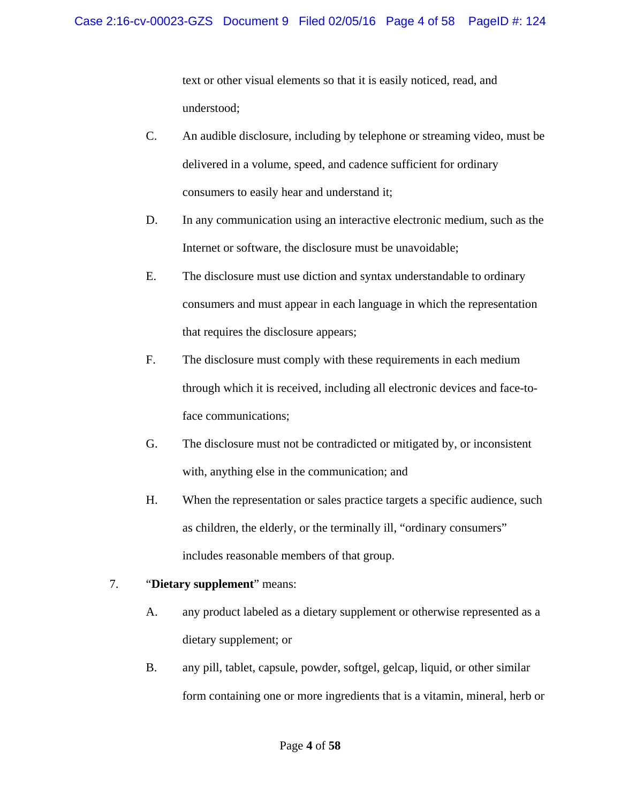text or other visual elements so that it is easily noticed, read, and understood;

- C. An audible disclosure, including by telephone or streaming video, must be delivered in a volume, speed, and cadence sufficient for ordinary consumers to easily hear and understand it;
- D. In any communication using an interactive electronic medium, such as the Internet or software, the disclosure must be unavoidable;
- E. The disclosure must use diction and syntax understandable to ordinary consumers and must appear in each language in which the representation that requires the disclosure appears;
- F. The disclosure must comply with these requirements in each medium through which it is received, including all electronic devices and face-to face communications;
- G. The disclosure must not be contradicted or mitigated by, or inconsistent with, anything else in the communication; and
- H. When the representation or sales practice targets a specific audience, such as children, the elderly, or the terminally ill, "ordinary consumers" includes reasonable members of that group.
- 7. "**Dietary supplement**" means:
	- A. any product labeled as a dietary supplement or otherwise represented as a dietary supplement; or
	- B. any pill, tablet, capsule, powder, softgel, gelcap, liquid, or other similar form containing one or more ingredients that is a vitamin, mineral, herb or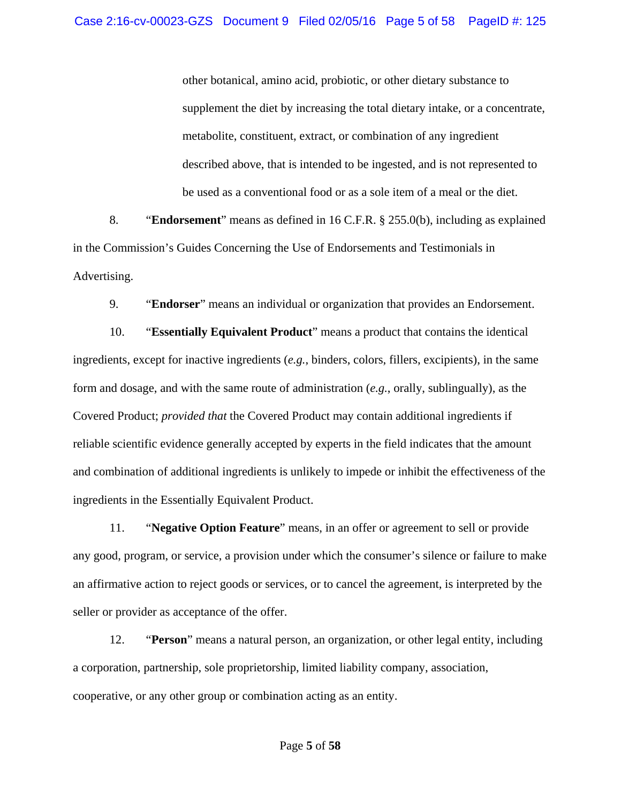other botanical, amino acid, probiotic, or other dietary substance to supplement the diet by increasing the total dietary intake, or a concentrate, metabolite, constituent, extract, or combination of any ingredient described above, that is intended to be ingested, and is not represented to be used as a conventional food or as a sole item of a meal or the diet.

 8. "**Endorsement**" means as defined in 16 C.F.R. § 255.0(b), including as explained in the Commission's Guides Concerning the Use of Endorsements and Testimonials in Advertising.

9. "**Endorser**" means an individual or organization that provides an Endorsement.

 10. "**Essentially Equivalent Product**" means a product that contains the identical ingredients, except for inactive ingredients (*e.g.*, binders, colors, fillers, excipients), in the same form and dosage, and with the same route of administration (*e.g.*, orally, sublingually), as the Covered Product; *provided that* the Covered Product may contain additional ingredients if reliable scientific evidence generally accepted by experts in the field indicates that the amount and combination of additional ingredients is unlikely to impede or inhibit the effectiveness of the ingredients in the Essentially Equivalent Product.

 11. "**Negative Option Feature**" means, in an offer or agreement to sell or provide any good, program, or service, a provision under which the consumer's silence or failure to make an affirmative action to reject goods or services, or to cancel the agreement, is interpreted by the seller or provider as acceptance of the offer.

 12. "**Person**" means a natural person, an organization, or other legal entity, including a corporation, partnership, sole proprietorship, limited liability company, association, cooperative, or any other group or combination acting as an entity.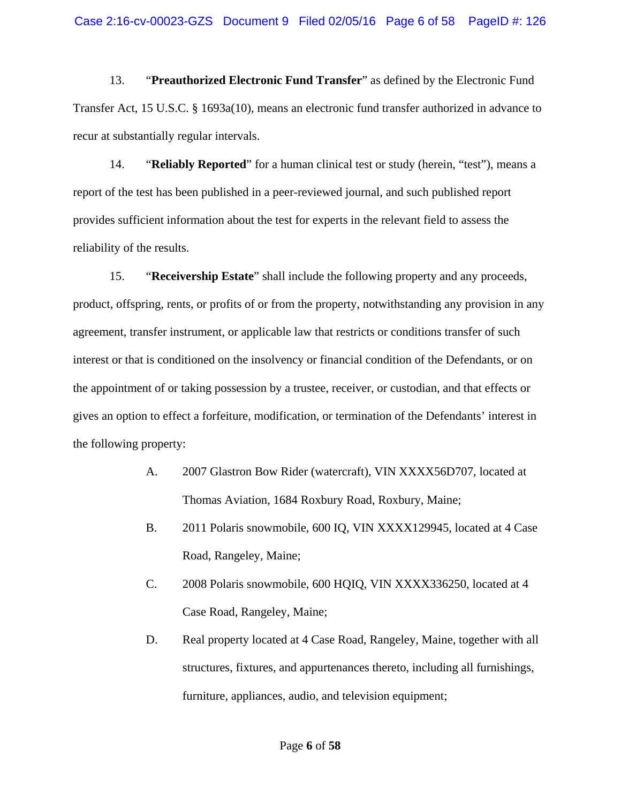13. "**Preauthorized Electronic Fund Transfer**" as defined by the Electronic Fund Transfer Act, 15 U.S.C. § 1693a(10), means an electronic fund transfer authorized in advance to recur at substantially regular intervals.

 14. "**Reliably Reported**" for a human clinical test or study (herein, "test"), means a report of the test has been published in a peer-reviewed journal, and such published report provides sufficient information about the test for experts in the relevant field to assess the reliability of the results.

 15. "**Receivership Estate**" shall include the following property and any proceeds, product, offspring, rents, or profits of or from the property, notwithstanding any provision in any agreement, transfer instrument, or applicable law that restricts or conditions transfer of such interest or that is conditioned on the insolvency or financial condition of the Defendants, or on the appointment of or taking possession by a trustee, receiver, or custodian, and that effects or gives an option to effect a forfeiture, modification, or termination of the Defendants' interest in the following property:

- A. 2007 Glastron Bow Rider (watercraft), VIN XXXX56D707, located at Thomas Aviation, 1684 Roxbury Road, Roxbury, Maine;
- B. 2011 Polaris snowmobile, 600 IQ, VIN XXXX129945, located at 4 Case Road, Rangeley, Maine;
- C. 2008 Polaris snowmobile, 600 HQIQ, VIN XXXX336250, located at 4 Case Road, Rangeley, Maine;
- D. Real property located at 4 Case Road, Rangeley, Maine, together with all structures, fixtures, and appurtenances thereto, including all furnishings, furniture, appliances, audio, and television equipment;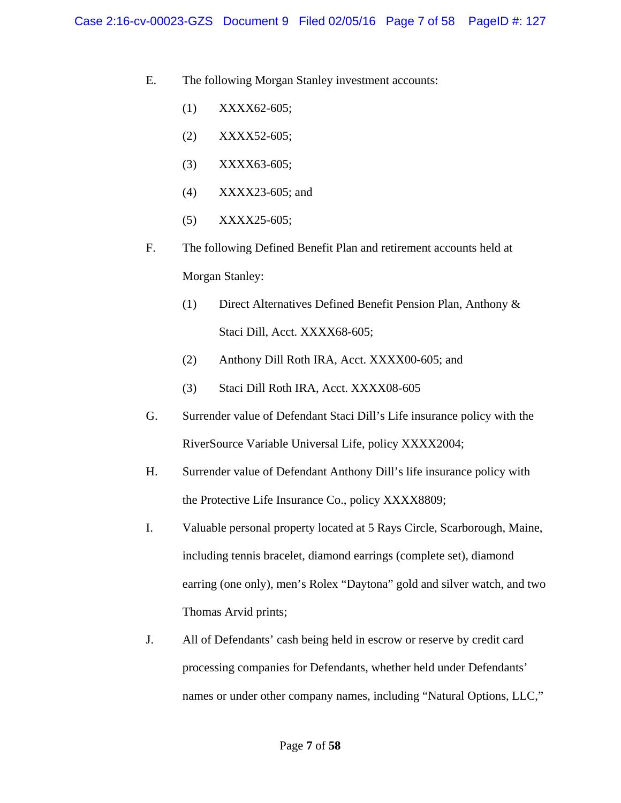E. The following Morgan Stanley investment accounts:

- (1) XXXX62-605;
- (2) XXXX52-605;
- (3) XXXX63-605;
- (4) XXXX23-605; and
- (5) XXXX25-605;
- F. The following Defined Benefit Plan and retirement accounts held at Morgan Stanley:
	- (1) Direct Alternatives Defined Benefit Pension Plan, Anthony & Staci Dill, Acct. XXXX68-605;
	- (2) Anthony Dill Roth IRA, Acct. XXXX00-605; and
	- (3) Staci Dill Roth IRA, Acct. XXXX08-605
- G. Surrender value of Defendant Staci Dill's Life insurance policy with the RiverSource Variable Universal Life, policy XXXX2004;
- H. Surrender value of Defendant Anthony Dill's life insurance policy with the Protective Life Insurance Co., policy XXXX8809;
- I. Valuable personal property located at 5 Rays Circle, Scarborough, Maine, including tennis bracelet, diamond earrings (complete set), diamond earring (one only), men's Rolex "Daytona" gold and silver watch, and two Thomas Arvid prints;
- J. All of Defendants' cash being held in escrow or reserve by credit card processing companies for Defendants, whether held under Defendants' names or under other company names, including "Natural Options, LLC,"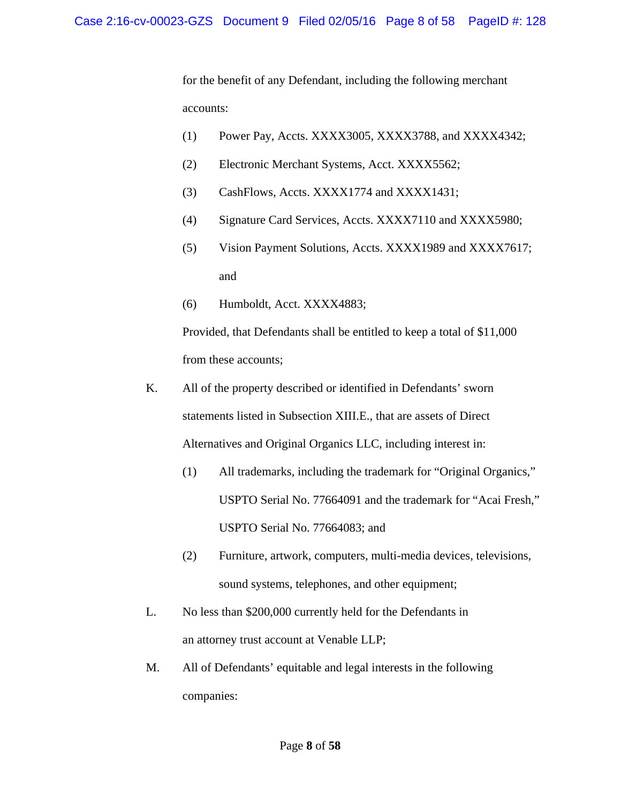for the benefit of any Defendant, including the following merchant accounts:

- (1) Power Pay, Accts. XXXX3005, XXXX3788, and XXXX4342;
- (2) Electronic Merchant Systems, Acct. XXXX5562;
- (3) CashFlows, Accts. XXXX1774 and XXXX1431;
- (4) Signature Card Services, Accts. XXXX7110 and XXXX5980;
- (5) Vision Payment Solutions, Accts. XXXX1989 and XXXX7617; and
- (6) Humboldt, Acct. XXXX4883;

 Provided, that Defendants shall be entitled to keep a total of \$11,000 from these accounts;

- K. All of the property described or identified in Defendants' sworn statements listed in Subsection XIII.E., that are assets of Direct Alternatives and Original Organics LLC, including interest in:
	- (1) All trademarks, including the trademark for "Original Organics," USPTO Serial No. 77664091 and the trademark for "Acai Fresh," USPTO Serial No. 77664083; and
	- (2) Furniture, artwork, computers, multi-media devices, televisions, sound systems, telephones, and other equipment;
- L. No less than \$200,000 currently held for the Defendants in an attorney trust account at Venable LLP;
- M. All of Defendants' equitable and legal interests in the following companies: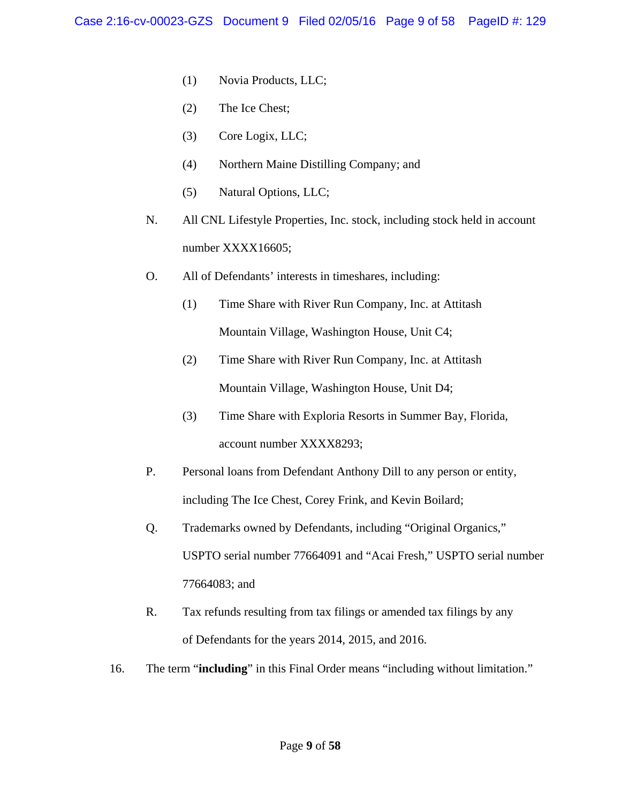- (1) Novia Products, LLC;
- (2) The Ice Chest;
- (3) Core Logix, LLC;
- (4) Northern Maine Distilling Company; and
- (5) Natural Options, LLC;
- N. All CNL Lifestyle Properties, Inc. stock, including stock held in account number XXXX16605;
- O. All of Defendants' interests in timeshares, including:
	- (1) Time Share with River Run Company, Inc. at Attitash Mountain Village, Washington House, Unit C4;
	- (2) Time Share with River Run Company, Inc. at Attitash Mountain Village, Washington House, Unit D4;
	- (3) Time Share with Exploria Resorts in Summer Bay, Florida, account number XXXX8293;
- P. Personal loans from Defendant Anthony Dill to any person or entity, including The Ice Chest, Corey Frink, and Kevin Boilard;
- Q. Trademarks owned by Defendants, including "Original Organics," USPTO serial number 77664091 and "Acai Fresh," USPTO serial number 77664083; and
- R. Tax refunds resulting from tax filings or amended tax filings by any of Defendants for the years 2014, 2015, and 2016.
- 16. The term "**including**" in this Final Order means "including without limitation."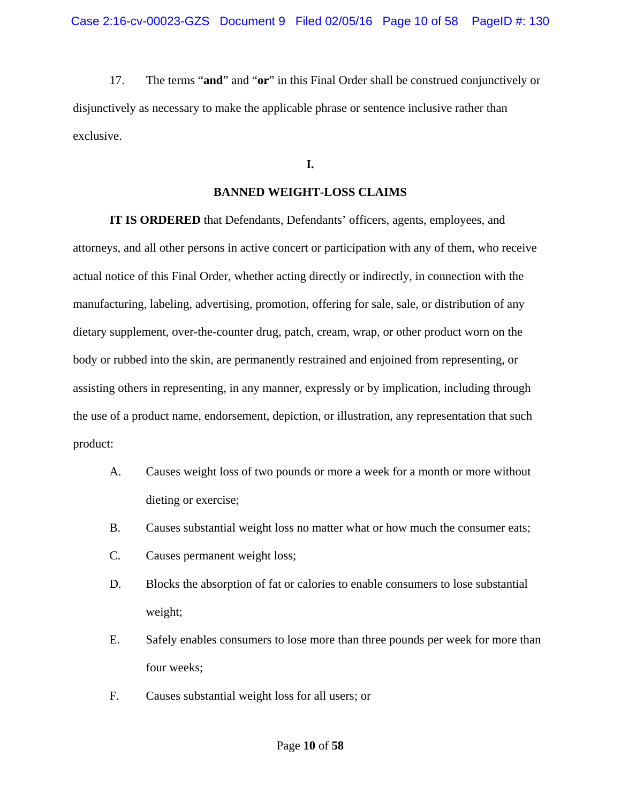17. The terms "**and**" and "**or**" in this Final Order shall be construed conjunctively or disjunctively as necessary to make the applicable phrase or sentence inclusive rather than exclusive.

## **I.**

### **BANNED WEIGHT-LOSS CLAIMS**

 **IT IS ORDERED** that Defendants, Defendants' officers, agents, employees, and attorneys, and all other persons in active concert or participation with any of them, who receive actual notice of this Final Order, whether acting directly or indirectly, in connection with the manufacturing, labeling, advertising, promotion, offering for sale, sale, or distribution of any dietary supplement, over-the-counter drug, patch, cream, wrap, or other product worn on the body or rubbed into the skin, are permanently restrained and enjoined from representing, or assisting others in representing, in any manner, expressly or by implication, including through the use of a product name, endorsement, depiction, or illustration, any representation that such product:

- A. Causes weight loss of two pounds or more a week for a month or more without dieting or exercise;
- B. Causes substantial weight loss no matter what or how much the consumer eats;
- C. Causes permanent weight loss;
- D. Blocks the absorption of fat or calories to enable consumers to lose substantial weight;
- E. Safely enables consumers to lose more than three pounds per week for more than four weeks;
- F. Causes substantial weight loss for all users; or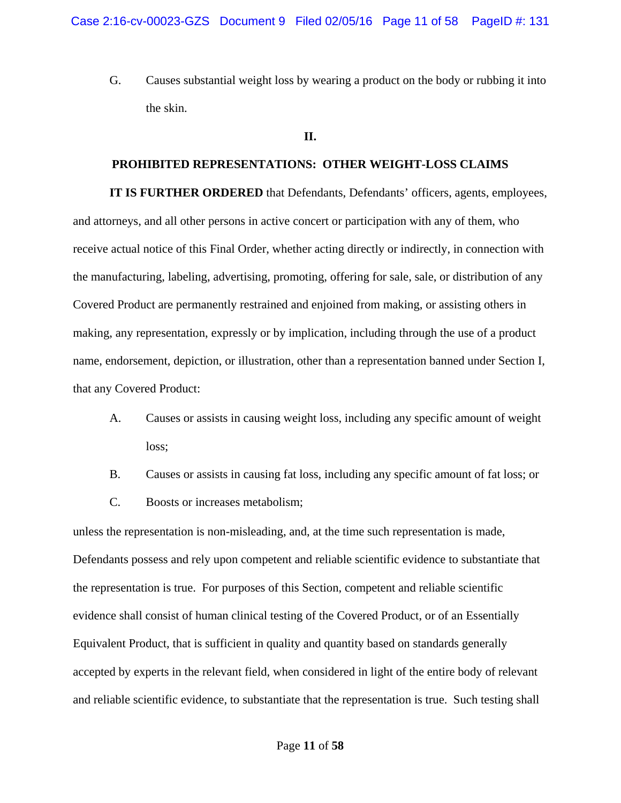G. Causes substantial weight loss by wearing a product on the body or rubbing it into the skin.

#### **II.**

### **PROHIBITED REPRESENTATIONS: OTHER WEIGHT-LOSS CLAIMS**

**IT IS FURTHER ORDERED** that Defendants, Defendants' officers, agents, employees, and attorneys, and all other persons in active concert or participation with any of them, who receive actual notice of this Final Order, whether acting directly or indirectly, in connection with the manufacturing, labeling, advertising, promoting, offering for sale, sale, or distribution of any Covered Product are permanently restrained and enjoined from making, or assisting others in making, any representation, expressly or by implication, including through the use of a product name, endorsement, depiction, or illustration, other than a representation banned under Section I, that any Covered Product:

- A. Causes or assists in causing weight loss, including any specific amount of weight loss;
- B. Causes or assists in causing fat loss, including any specific amount of fat loss; or
- C. Boosts or increases metabolism;

unless the representation is non-misleading, and, at the time such representation is made, Defendants possess and rely upon competent and reliable scientific evidence to substantiate that the representation is true. For purposes of this Section, competent and reliable scientific evidence shall consist of human clinical testing of the Covered Product, or of an Essentially Equivalent Product, that is sufficient in quality and quantity based on standards generally accepted by experts in the relevant field, when considered in light of the entire body of relevant and reliable scientific evidence, to substantiate that the representation is true. Such testing shall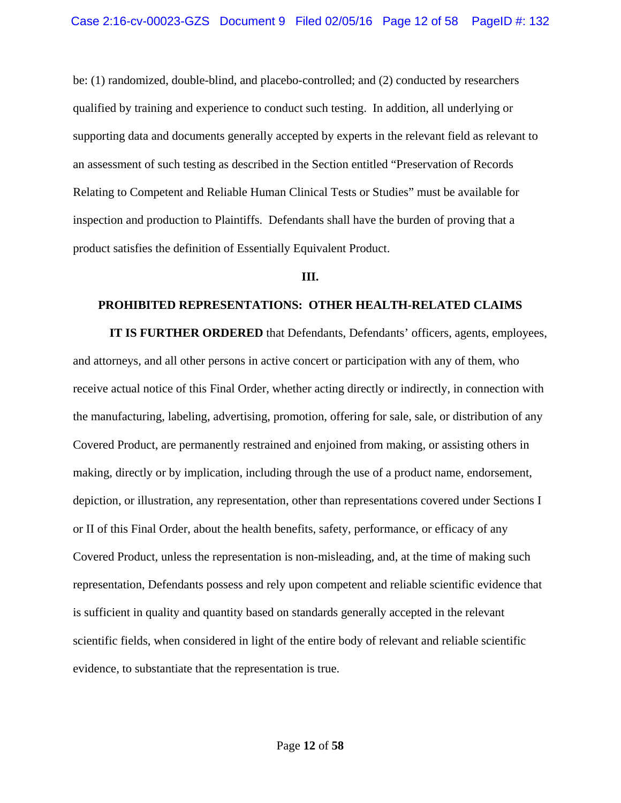be: (1) randomized, double-blind, and placebo-controlled; and (2) conducted by researchers qualified by training and experience to conduct such testing. In addition, all underlying or supporting data and documents generally accepted by experts in the relevant field as relevant to an assessment of such testing as described in the Section entitled "Preservation of Records Relating to Competent and Reliable Human Clinical Tests or Studies" must be available for inspection and production to Plaintiffs. Defendants shall have the burden of proving that a product satisfies the definition of Essentially Equivalent Product.

#### **III.**

#### **PROHIBITED REPRESENTATIONS: OTHER HEALTH-RELATED CLAIMS**

**IT IS FURTHER ORDERED** that Defendants, Defendants' officers, agents, employees, and attorneys, and all other persons in active concert or participation with any of them, who receive actual notice of this Final Order, whether acting directly or indirectly, in connection with the manufacturing, labeling, advertising, promotion, offering for sale, sale, or distribution of any Covered Product, are permanently restrained and enjoined from making, or assisting others in making, directly or by implication, including through the use of a product name, endorsement, depiction, or illustration, any representation, other than representations covered under Sections I or II of this Final Order, about the health benefits, safety, performance, or efficacy of any Covered Product, unless the representation is non-misleading, and, at the time of making such representation, Defendants possess and rely upon competent and reliable scientific evidence that is sufficient in quality and quantity based on standards generally accepted in the relevant scientific fields, when considered in light of the entire body of relevant and reliable scientific evidence, to substantiate that the representation is true.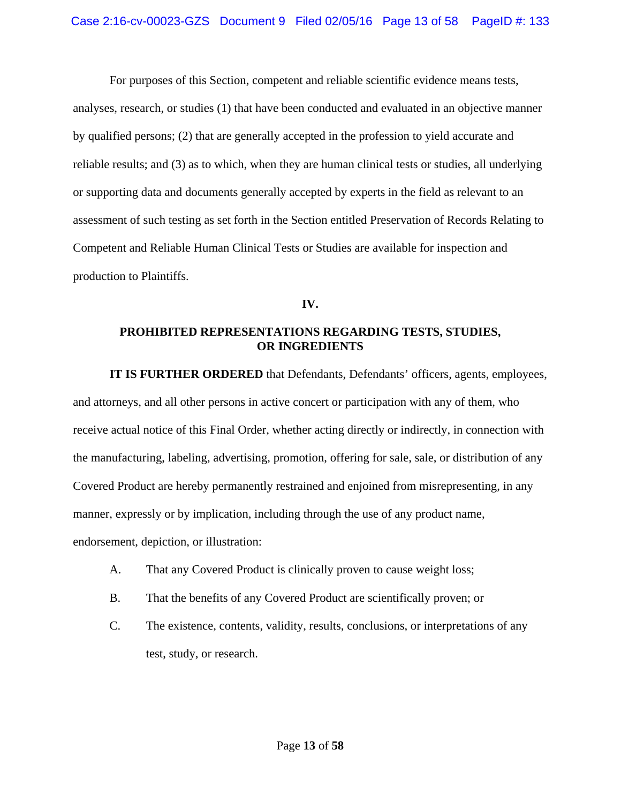For purposes of this Section, competent and reliable scientific evidence means tests, analyses, research, or studies (1) that have been conducted and evaluated in an objective manner by qualified persons; (2) that are generally accepted in the profession to yield accurate and reliable results; and (3) as to which, when they are human clinical tests or studies, all underlying or supporting data and documents generally accepted by experts in the field as relevant to an assessment of such testing as set forth in the Section entitled Preservation of Records Relating to Competent and Reliable Human Clinical Tests or Studies are available for inspection and production to Plaintiffs.

### **IV.**

# **PROHIBITED REPRESENTATIONS REGARDING TESTS, STUDIES, OR INGREDIENTS**

 **IT IS FURTHER ORDERED** that Defendants, Defendants' officers, agents, employees, and attorneys, and all other persons in active concert or participation with any of them, who receive actual notice of this Final Order, whether acting directly or indirectly, in connection with the manufacturing, labeling, advertising, promotion, offering for sale, sale, or distribution of any Covered Product are hereby permanently restrained and enjoined from misrepresenting, in any manner, expressly or by implication, including through the use of any product name, endorsement, depiction, or illustration:

- A. That any Covered Product is clinically proven to cause weight loss;
- B. That the benefits of any Covered Product are scientifically proven; or
- C. The existence, contents, validity, results, conclusions, or interpretations of any test, study, or research.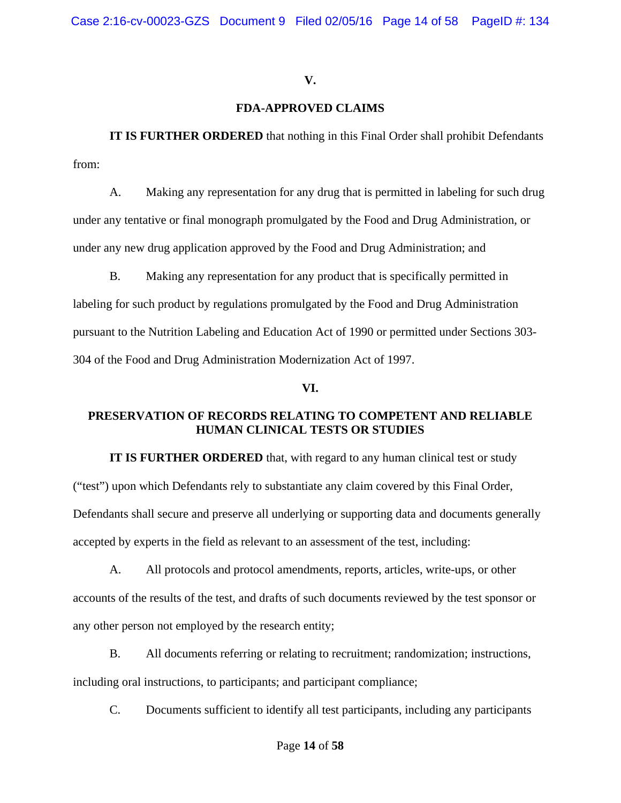## **V.**

## **FDA-APPROVED CLAIMS**

**IT IS FURTHER ORDERED** that nothing in this Final Order shall prohibit Defendants from:

A. Making any representation for any drug that is permitted in labeling for such drug under any tentative or final monograph promulgated by the Food and Drug Administration, or under any new drug application approved by the Food and Drug Administration; and

B. Making any representation for any product that is specifically permitted in labeling for such product by regulations promulgated by the Food and Drug Administration pursuant to the Nutrition Labeling and Education Act of 1990 or permitted under Sections 303- 304 of the Food and Drug Administration Modernization Act of 1997.

### **VI.**

# **PRESERVATION OF RECORDS RELATING TO COMPETENT AND RELIABLE HUMAN CLINICAL TESTS OR STUDIES**

**IT IS FURTHER ORDERED** that, with regard to any human clinical test or study ("test") upon which Defendants rely to substantiate any claim covered by this Final Order, Defendants shall secure and preserve all underlying or supporting data and documents generally accepted by experts in the field as relevant to an assessment of the test, including:

A. All protocols and protocol amendments, reports, articles, write-ups, or other accounts of the results of the test, and drafts of such documents reviewed by the test sponsor or any other person not employed by the research entity;

B. All documents referring or relating to recruitment; randomization; instructions, including oral instructions, to participants; and participant compliance;

C. Documents sufficient to identify all test participants, including any participants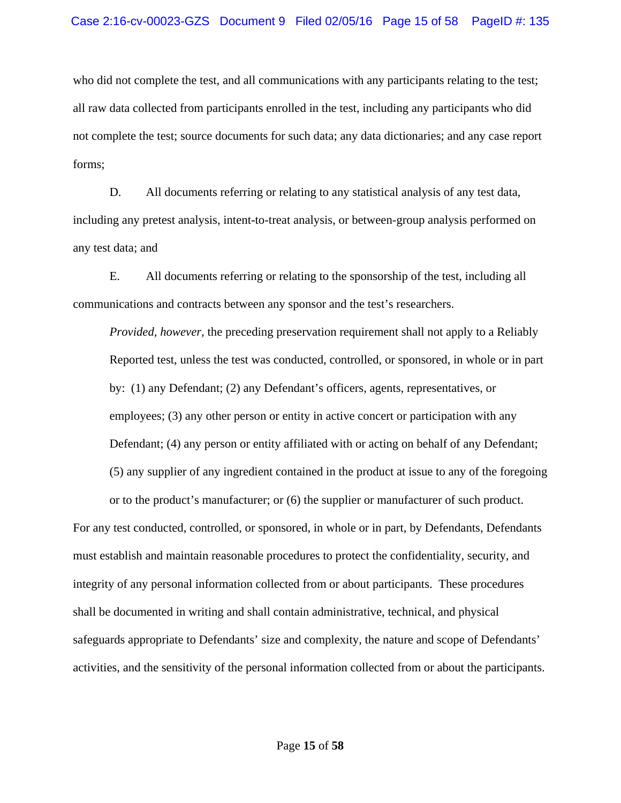who did not complete the test, and all communications with any participants relating to the test; all raw data collected from participants enrolled in the test, including any participants who did not complete the test; source documents for such data; any data dictionaries; and any case report forms;

D. All documents referring or relating to any statistical analysis of any test data, including any pretest analysis, intent-to-treat analysis, or between-group analysis performed on any test data; and

E. All documents referring or relating to the sponsorship of the test, including all communications and contracts between any sponsor and the test's researchers.

*Provided, however,* the preceding preservation requirement shall not apply to a Reliably Reported test, unless the test was conducted, controlled, or sponsored, in whole or in part by: (1) any Defendant; (2) any Defendant's officers, agents, representatives, or employees; (3) any other person or entity in active concert or participation with any Defendant; (4) any person or entity affiliated with or acting on behalf of any Defendant; (5) any supplier of any ingredient contained in the product at issue to any of the foregoing

or to the product's manufacturer; or (6) the supplier or manufacturer of such product.

For any test conducted, controlled, or sponsored, in whole or in part, by Defendants, Defendants must establish and maintain reasonable procedures to protect the confidentiality, security, and integrity of any personal information collected from or about participants. These procedures shall be documented in writing and shall contain administrative, technical, and physical safeguards appropriate to Defendants' size and complexity, the nature and scope of Defendants' activities, and the sensitivity of the personal information collected from or about the participants.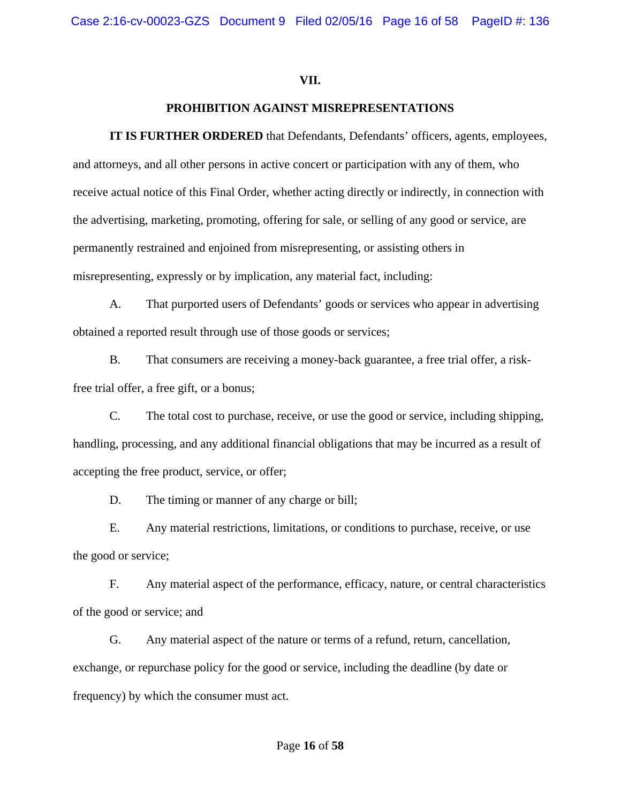#### **VII.**

### **PROHIBITION AGAINST MISREPRESENTATIONS**

**IT IS FURTHER ORDERED** that Defendants, Defendants' officers, agents, employees, and attorneys, and all other persons in active concert or participation with any of them, who receive actual notice of this Final Order, whether acting directly or indirectly, in connection with the advertising, marketing, promoting, offering for sale, or selling of any good or service, are permanently restrained and enjoined from misrepresenting, or assisting others in misrepresenting, expressly or by implication, any material fact, including:

 A. That purported users of Defendants' goods or services who appear in advertising obtained a reported result through use of those goods or services;

 B. That consumers are receiving a money-back guarantee, a free trial offer, a riskfree trial offer, a free gift, or a bonus;

 C. The total cost to purchase, receive, or use the good or service, including shipping, handling, processing, and any additional financial obligations that may be incurred as a result of accepting the free product, service, or offer;

D. The timing or manner of any charge or bill;

 E. Any material restrictions, limitations, or conditions to purchase, receive, or use the good or service;

 F. Any material aspect of the performance, efficacy, nature, or central characteristics of the good or service; and

 G. Any material aspect of the nature or terms of a refund, return, cancellation, exchange, or repurchase policy for the good or service, including the deadline (by date or frequency) by which the consumer must act.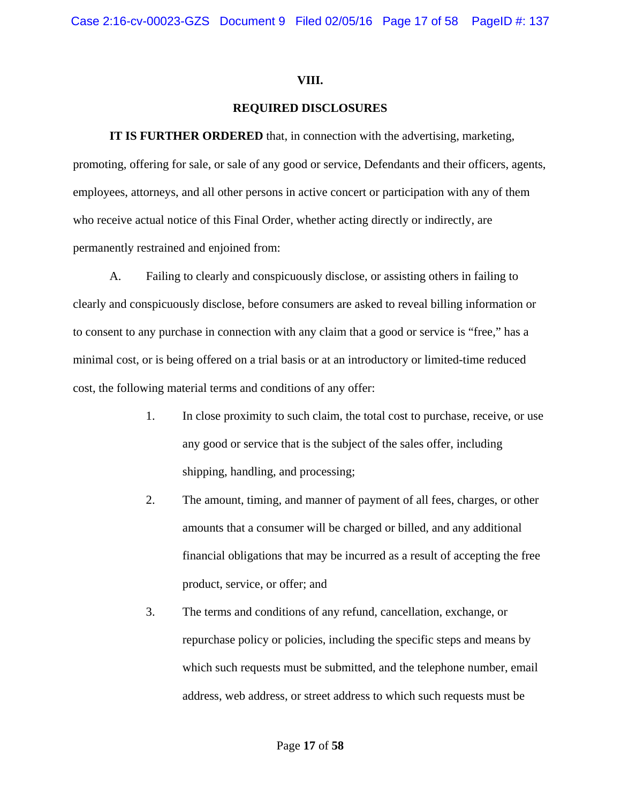### **VIII.**

# **REQUIRED DISCLOSURES**

**IT IS FURTHER ORDERED** that, in connection with the advertising, marketing, promoting, offering for sale, or sale of any good or service, Defendants and their officers, agents, employees, attorneys, and all other persons in active concert or participation with any of them who receive actual notice of this Final Order, whether acting directly or indirectly, are permanently restrained and enjoined from:

A. Failing to clearly and conspicuously disclose, or assisting others in failing to clearly and conspicuously disclose, before consumers are asked to reveal billing information or to consent to any purchase in connection with any claim that a good or service is "free," has a minimal cost, or is being offered on a trial basis or at an introductory or limited-time reduced cost, the following material terms and conditions of any offer:

- 1. In close proximity to such claim, the total cost to purchase, receive, or use any good or service that is the subject of the sales offer, including shipping, handling, and processing;
- 2. The amount, timing, and manner of payment of all fees, charges, or other amounts that a consumer will be charged or billed, and any additional financial obligations that may be incurred as a result of accepting the free product, service, or offer; and
- 3. The terms and conditions of any refund, cancellation, exchange, or repurchase policy or policies, including the specific steps and means by which such requests must be submitted, and the telephone number, email address, web address, or street address to which such requests must be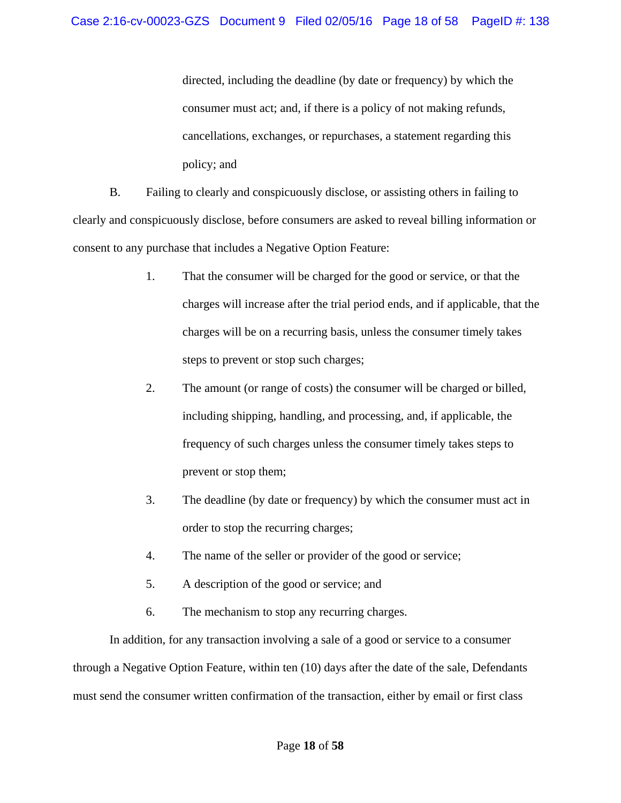directed, including the deadline (by date or frequency) by which the consumer must act; and, if there is a policy of not making refunds, cancellations, exchanges, or repurchases, a statement regarding this policy; and

B. Failing to clearly and conspicuously disclose, or assisting others in failing to clearly and conspicuously disclose, before consumers are asked to reveal billing information or consent to any purchase that includes a Negative Option Feature:

- 1. That the consumer will be charged for the good or service, or that the charges will increase after the trial period ends, and if applicable, that the charges will be on a recurring basis, unless the consumer timely takes steps to prevent or stop such charges;
- 2. The amount (or range of costs) the consumer will be charged or billed, including shipping, handling, and processing, and, if applicable, the frequency of such charges unless the consumer timely takes steps to prevent or stop them;
- 3. The deadline (by date or frequency) by which the consumer must act in order to stop the recurring charges;
- 4. The name of the seller or provider of the good or service;
- 5. A description of the good or service; and
- 6. The mechanism to stop any recurring charges.

In addition, for any transaction involving a sale of a good or service to a consumer through a Negative Option Feature, within ten (10) days after the date of the sale, Defendants must send the consumer written confirmation of the transaction, either by email or first class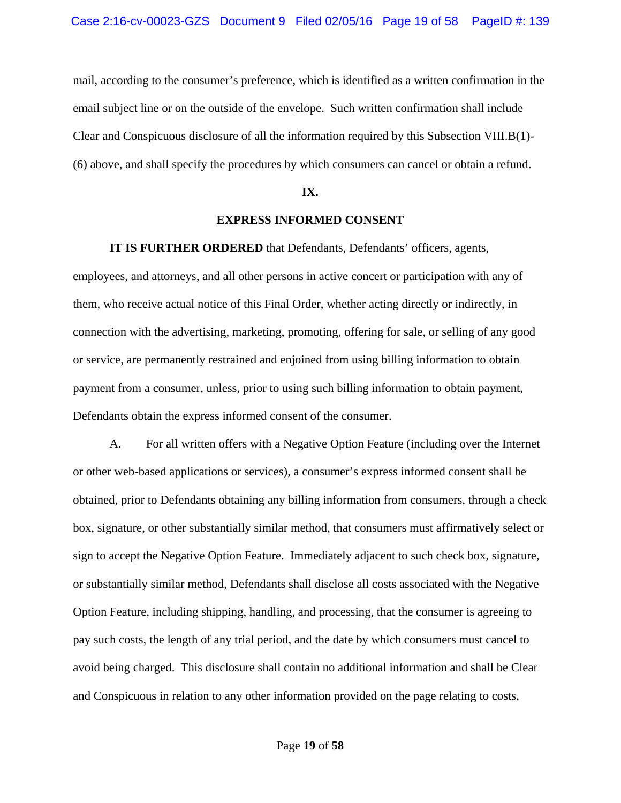mail, according to the consumer's preference, which is identified as a written confirmation in the email subject line or on the outside of the envelope. Such written confirmation shall include Clear and Conspicuous disclosure of all the information required by this Subsection VIII.B(1)- (6) above, and shall specify the procedures by which consumers can cancel or obtain a refund.

### **IX.**

#### **EXPRESS INFORMED CONSENT**

**IT IS FURTHER ORDERED** that Defendants, Defendants' officers, agents,

employees, and attorneys, and all other persons in active concert or participation with any of them, who receive actual notice of this Final Order, whether acting directly or indirectly, in connection with the advertising, marketing, promoting, offering for sale, or selling of any good or service, are permanently restrained and enjoined from using billing information to obtain payment from a consumer, unless, prior to using such billing information to obtain payment, Defendants obtain the express informed consent of the consumer.

 A. For all written offers with a Negative Option Feature (including over the Internet or other web-based applications or services), a consumer's express informed consent shall be obtained, prior to Defendants obtaining any billing information from consumers, through a check box, signature, or other substantially similar method, that consumers must affirmatively select or sign to accept the Negative Option Feature. Immediately adjacent to such check box, signature, or substantially similar method, Defendants shall disclose all costs associated with the Negative Option Feature, including shipping, handling, and processing, that the consumer is agreeing to pay such costs, the length of any trial period, and the date by which consumers must cancel to avoid being charged. This disclosure shall contain no additional information and shall be Clear and Conspicuous in relation to any other information provided on the page relating to costs,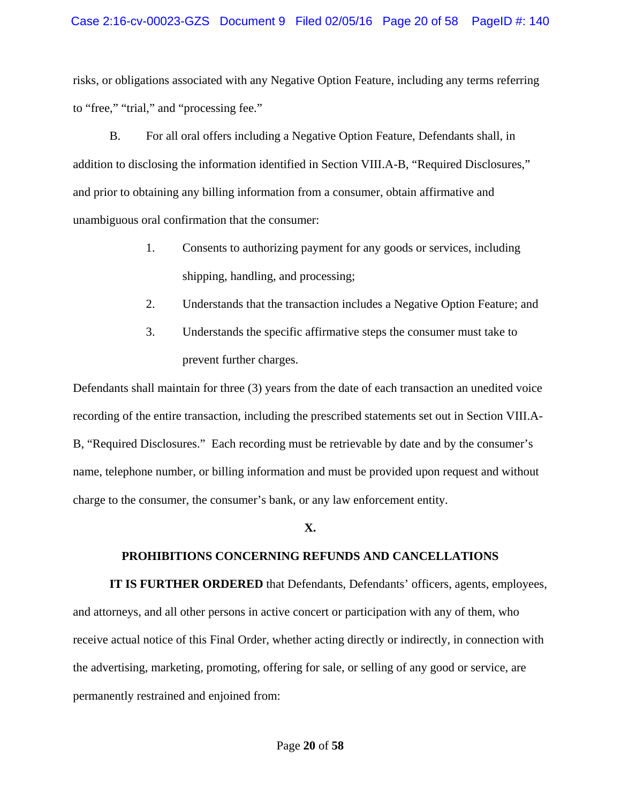### Case 2:16-cv-00023-GZS Document 9 Filed 02/05/16 Page 20 of 58 PageID #: 140

risks, or obligations associated with any Negative Option Feature, including any terms referring to "free," "trial," and "processing fee."

 B. For all oral offers including a Negative Option Feature, Defendants shall, in addition to disclosing the information identified in Section VIII.A-B, "Required Disclosures," and prior to obtaining any billing information from a consumer, obtain affirmative and unambiguous oral confirmation that the consumer:

- 1. Consents to authorizing payment for any goods or services, including shipping, handling, and processing;
- 2. Understands that the transaction includes a Negative Option Feature; and
- 3. Understands the specific affirmative steps the consumer must take to prevent further charges.

Defendants shall maintain for three (3) years from the date of each transaction an unedited voice recording of the entire transaction, including the prescribed statements set out in Section VIII.A-B, "Required Disclosures." Each recording must be retrievable by date and by the consumer's name, telephone number, or billing information and must be provided upon request and without charge to the consumer, the consumer's bank, or any law enforcement entity.

#### **X.**

#### **PROHIBITIONS CONCERNING REFUNDS AND CANCELLATIONS**

**IT IS FURTHER ORDERED** that Defendants, Defendants' officers, agents, employees, and attorneys, and all other persons in active concert or participation with any of them, who receive actual notice of this Final Order, whether acting directly or indirectly, in connection with the advertising, marketing, promoting, offering for sale, or selling of any good or service, are permanently restrained and enjoined from: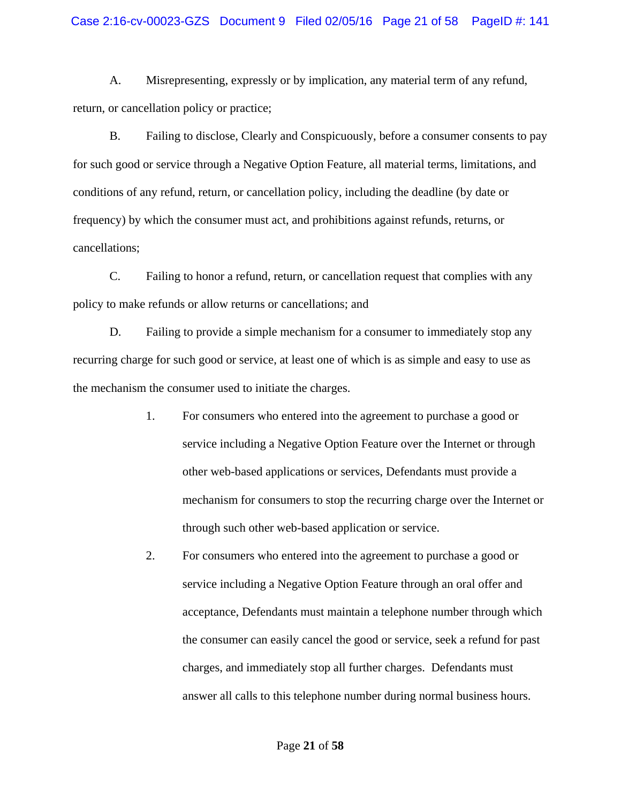A. Misrepresenting, expressly or by implication, any material term of any refund, return, or cancellation policy or practice;

 B. Failing to disclose, Clearly and Conspicuously, before a consumer consents to pay for such good or service through a Negative Option Feature, all material terms, limitations, and conditions of any refund, return, or cancellation policy, including the deadline (by date or frequency) by which the consumer must act, and prohibitions against refunds, returns, or cancellations;

 C. Failing to honor a refund, return, or cancellation request that complies with any policy to make refunds or allow returns or cancellations; and

 D. Failing to provide a simple mechanism for a consumer to immediately stop any recurring charge for such good or service, at least one of which is as simple and easy to use as the mechanism the consumer used to initiate the charges.

- 1. For consumers who entered into the agreement to purchase a good or service including a Negative Option Feature over the Internet or through other web-based applications or services, Defendants must provide a mechanism for consumers to stop the recurring charge over the Internet or through such other web-based application or service.
- 2. For consumers who entered into the agreement to purchase a good or service including a Negative Option Feature through an oral offer and acceptance, Defendants must maintain a telephone number through which the consumer can easily cancel the good or service, seek a refund for past charges, and immediately stop all further charges. Defendants must answer all calls to this telephone number during normal business hours.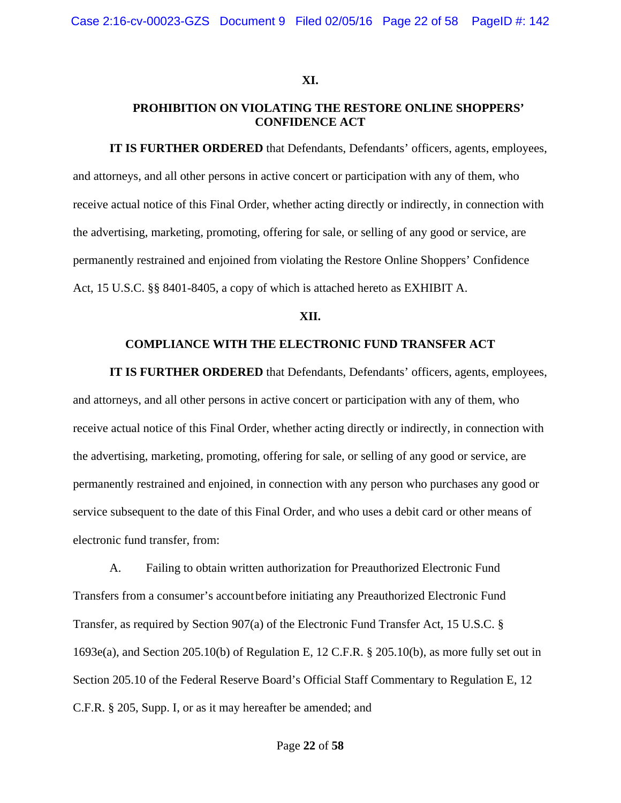#### **XI.**

## **PROHIBITION ON VIOLATING THE RESTORE ONLINE SHOPPERS' CONFIDENCE ACT**

**IT IS FURTHER ORDERED** that Defendants, Defendants' officers, agents, employees, and attorneys, and all other persons in active concert or participation with any of them, who receive actual notice of this Final Order, whether acting directly or indirectly, in connection with the advertising, marketing, promoting, offering for sale, or selling of any good or service, are permanently restrained and enjoined from violating the Restore Online Shoppers' Confidence Act, 15 U.S.C. §§ 8401-8405, a copy of which is attached hereto as EXHIBIT A.

#### **XII.**

#### **COMPLIANCE WITH THE ELECTRONIC FUND TRANSFER ACT**

**IT IS FURTHER ORDERED** that Defendants, Defendants' officers, agents, employees, and attorneys, and all other persons in active concert or participation with any of them, who receive actual notice of this Final Order, whether acting directly or indirectly, in connection with the advertising, marketing, promoting, offering for sale, or selling of any good or service, are permanently restrained and enjoined, in connection with any person who purchases any good or service subsequent to the date of this Final Order, and who uses a debit card or other means of electronic fund transfer, from:

 A. Failing to obtain written authorization for Preauthorized Electronic Fund Transfers from a consumer's account before initiating any Preauthorized Electronic Fund Transfer, as required by Section 907(a) of the Electronic Fund Transfer Act, 15 U.S.C. § 1693e(a), and Section 205.10(b) of Regulation E, 12 C.F.R. § 205.10(b), as more fully set out in Section 205.10 of the Federal Reserve Board's Official Staff Commentary to Regulation E, 12 C.F.R. § 205, Supp. I, or as it may hereafter be amended; and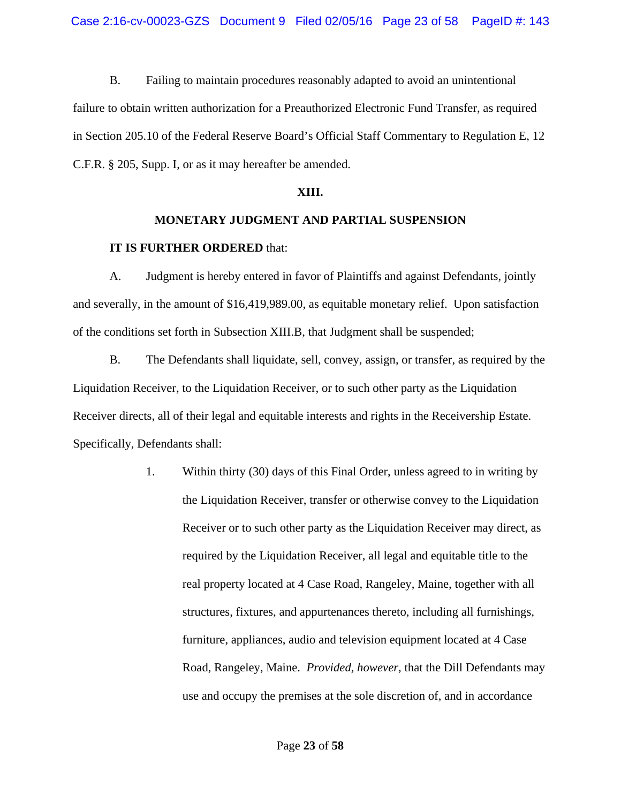B. Failing to maintain procedures reasonably adapted to avoid an unintentional failure to obtain written authorization for a Preauthorized Electronic Fund Transfer, as required in Section 205.10 of the Federal Reserve Board's Official Staff Commentary to Regulation E, 12 C.F.R. § 205, Supp. I, or as it may hereafter be amended.

### **XIII.**

## **MONETARY JUDGMENT AND PARTIAL SUSPENSION**

# **IT IS FURTHER ORDERED** that:

 A. Judgment is hereby entered in favor of Plaintiffs and against Defendants, jointly and severally, in the amount of \$16,419,989.00, as equitable monetary relief. Upon satisfaction of the conditions set forth in Subsection XIII.B, that Judgment shall be suspended;

 B. The Defendants shall liquidate, sell, convey, assign, or transfer, as required by the Liquidation Receiver, to the Liquidation Receiver, or to such other party as the Liquidation Receiver directs, all of their legal and equitable interests and rights in the Receivership Estate. Specifically, Defendants shall:

> 1. Within thirty (30) days of this Final Order, unless agreed to in writing by the Liquidation Receiver, transfer or otherwise convey to the Liquidation Receiver or to such other party as the Liquidation Receiver may direct, as required by the Liquidation Receiver, all legal and equitable title to the real property located at 4 Case Road, Rangeley, Maine, together with all structures, fixtures, and appurtenances thereto, including all furnishings, furniture, appliances, audio and television equipment located at 4 Case Road, Rangeley, Maine. *Provided, however*, that the Dill Defendants may use and occupy the premises at the sole discretion of, and in accordance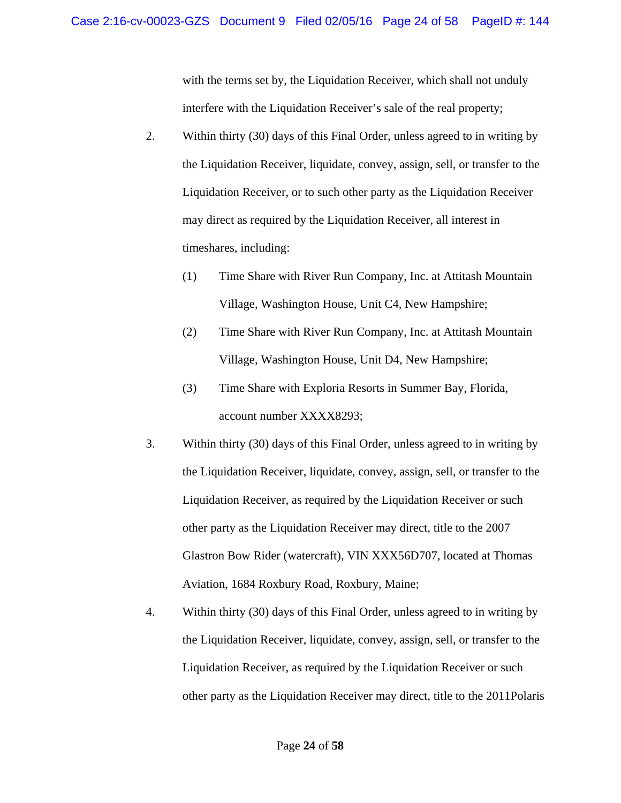with the terms set by, the Liquidation Receiver, which shall not unduly interfere with the Liquidation Receiver's sale of the real property;

- 2. Within thirty (30) days of this Final Order, unless agreed to in writing by the Liquidation Receiver, liquidate, convey, assign, sell, or transfer to the Liquidation Receiver, or to such other party as the Liquidation Receiver may direct as required by the Liquidation Receiver, all interest in timeshares, including:
	- (1) Time Share with River Run Company, Inc. at Attitash Mountain Village, Washington House, Unit C4, New Hampshire;
	- (2) Time Share with River Run Company, Inc. at Attitash Mountain Village, Washington House, Unit D4, New Hampshire;
	- (3) Time Share with Exploria Resorts in Summer Bay, Florida, account number XXXX8293;
- 3. Within thirty (30) days of this Final Order, unless agreed to in writing by the Liquidation Receiver, liquidate, convey, assign, sell, or transfer to the Liquidation Receiver, as required by the Liquidation Receiver or such other party as the Liquidation Receiver may direct, title to the 2007 Glastron Bow Rider (watercraft), VIN XXX56D707, located at Thomas Aviation, 1684 Roxbury Road, Roxbury, Maine;
- 4. Within thirty (30) days of this Final Order, unless agreed to in writing by the Liquidation Receiver, liquidate, convey, assign, sell, or transfer to the Liquidation Receiver, as required by the Liquidation Receiver or such other party as the Liquidation Receiver may direct, title to the 2011Polaris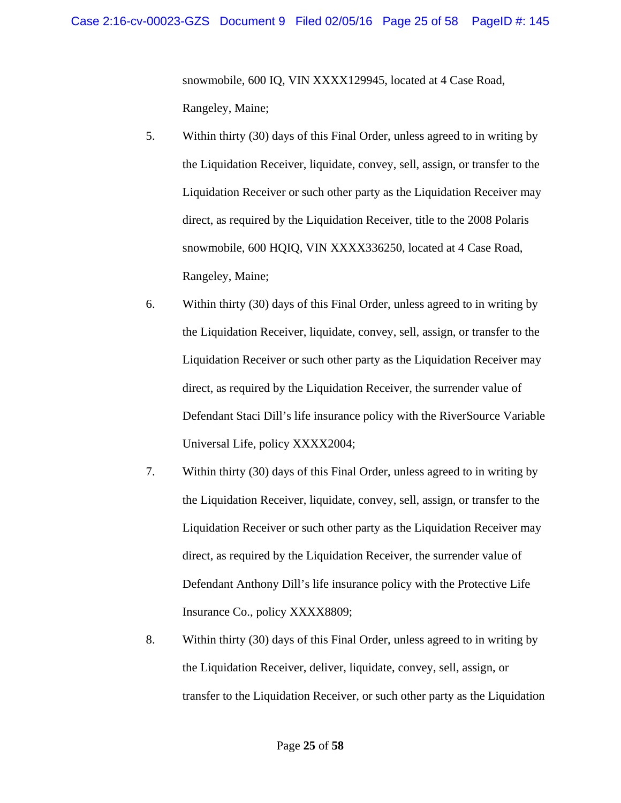snowmobile, 600 IQ, VIN XXXX129945, located at 4 Case Road, Rangeley, Maine;

- 5. Within thirty (30) days of this Final Order, unless agreed to in writing by the Liquidation Receiver, liquidate, convey, sell, assign, or transfer to the Liquidation Receiver or such other party as the Liquidation Receiver may direct, as required by the Liquidation Receiver, title to the 2008 Polaris snowmobile, 600 HQIQ, VIN XXXX336250, located at 4 Case Road, Rangeley, Maine;
- 6. Within thirty (30) days of this Final Order, unless agreed to in writing by the Liquidation Receiver, liquidate, convey, sell, assign, or transfer to the Liquidation Receiver or such other party as the Liquidation Receiver may direct, as required by the Liquidation Receiver, the surrender value of Defendant Staci Dill's life insurance policy with the RiverSource Variable Universal Life, policy XXXX2004;
- 7. Within thirty (30) days of this Final Order, unless agreed to in writing by the Liquidation Receiver, liquidate, convey, sell, assign, or transfer to the Liquidation Receiver or such other party as the Liquidation Receiver may direct, as required by the Liquidation Receiver, the surrender value of Defendant Anthony Dill's life insurance policy with the Protective Life Insurance Co., policy XXXX8809;
- 8. Within thirty (30) days of this Final Order, unless agreed to in writing by the Liquidation Receiver, deliver, liquidate, convey, sell, assign, or transfer to the Liquidation Receiver, or such other party as the Liquidation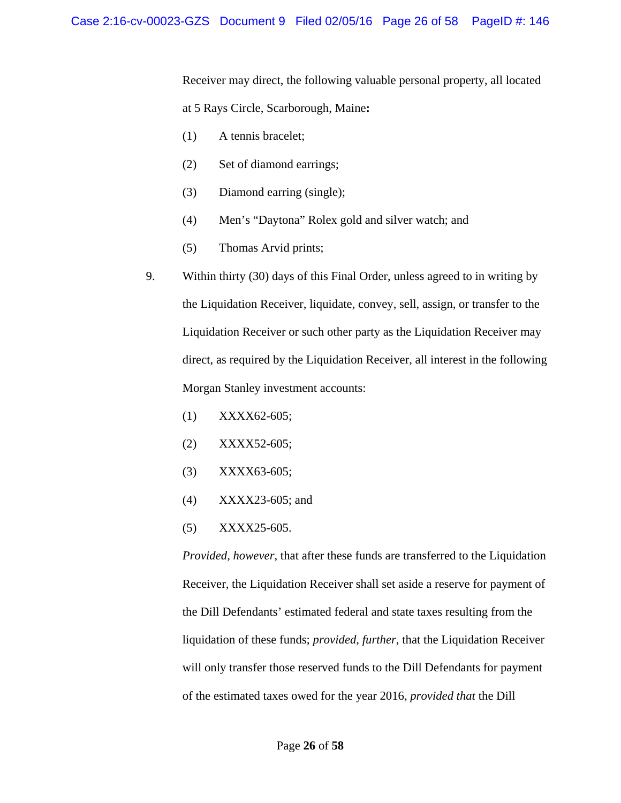Receiver may direct, the following valuable personal property, all located at 5 Rays Circle, Scarborough, Maine**:** 

- (1) A tennis bracelet;
- (2) Set of diamond earrings;
- (3) Diamond earring (single);
- (4) Men's "Daytona" Rolex gold and silver watch; and
- (5) Thomas Arvid prints;
- 9. Within thirty (30) days of this Final Order, unless agreed to in writing by the Liquidation Receiver, liquidate, convey, sell, assign, or transfer to the Liquidation Receiver or such other party as the Liquidation Receiver may direct, as required by the Liquidation Receiver, all interest in the following Morgan Stanley investment accounts:
	- (1) XXXX62-605;
	- (2) XXXX52-605;
	- (3) XXXX63-605;
	- (4) XXXX23-605; and
	- (5) XXXX25-605.

*Provided, however*, that after these funds are transferred to the Liquidation Receiver, the Liquidation Receiver shall set aside a reserve for payment of the Dill Defendants' estimated federal and state taxes resulting from the liquidation of these funds; *provided, further*, that the Liquidation Receiver will only transfer those reserved funds to the Dill Defendants for payment of the estimated taxes owed for the year 2016, *provided that* the Dill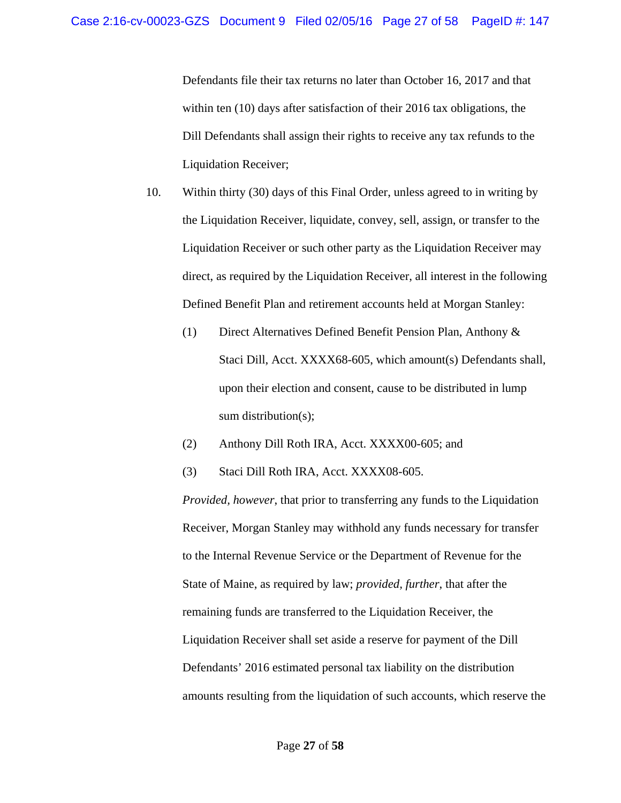Defendants file their tax returns no later than October 16, 2017 and that within ten (10) days after satisfaction of their 2016 tax obligations, the Dill Defendants shall assign their rights to receive any tax refunds to the Liquidation Receiver;

- 10. Within thirty (30) days of this Final Order, unless agreed to in writing by the Liquidation Receiver, liquidate, convey, sell, assign, or transfer to the Liquidation Receiver or such other party as the Liquidation Receiver may direct, as required by the Liquidation Receiver, all interest in the following Defined Benefit Plan and retirement accounts held at Morgan Stanley:
	- (1) Direct Alternatives Defined Benefit Pension Plan, Anthony & Staci Dill, Acct. XXXX68-605, which amount(s) Defendants shall, upon their election and consent, cause to be distributed in lump sum distribution(s);
	- (2) Anthony Dill Roth IRA, Acct. XXXX00-605; and
	- (3) Staci Dill Roth IRA, Acct. XXXX08-605.

*Provided, however*, that prior to transferring any funds to the Liquidation Receiver, Morgan Stanley may withhold any funds necessary for transfer to the Internal Revenue Service or the Department of Revenue for the State of Maine, as required by law; *provided, further*, that after the remaining funds are transferred to the Liquidation Receiver, the Liquidation Receiver shall set aside a reserve for payment of the Dill Defendants' 2016 estimated personal tax liability on the distribution amounts resulting from the liquidation of such accounts, which reserve the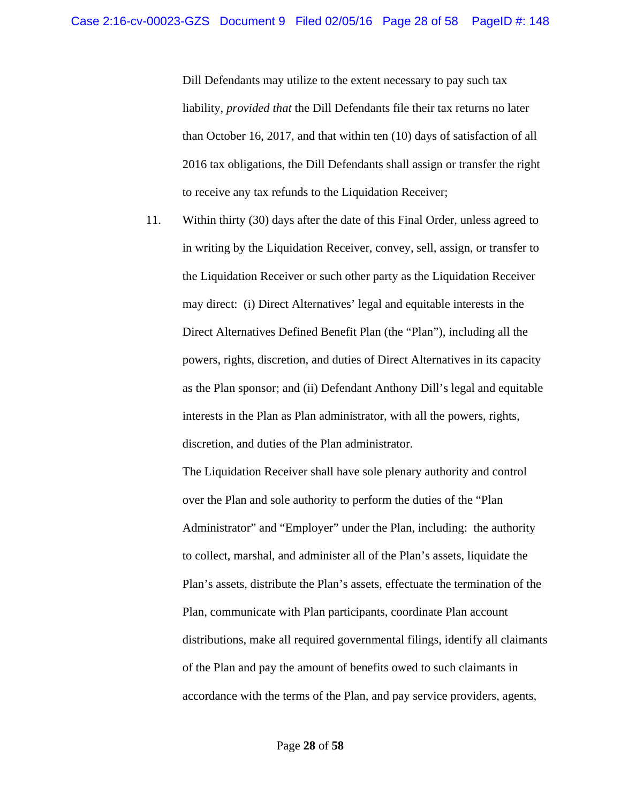Dill Defendants may utilize to the extent necessary to pay such tax liability, *provided that* the Dill Defendants file their tax returns no later than October 16, 2017, and that within ten (10) days of satisfaction of all 2016 tax obligations, the Dill Defendants shall assign or transfer the right to receive any tax refunds to the Liquidation Receiver;

11. Within thirty (30) days after the date of this Final Order, unless agreed to in writing by the Liquidation Receiver, convey, sell, assign, or transfer to the Liquidation Receiver or such other party as the Liquidation Receiver may direct: (i) Direct Alternatives' legal and equitable interests in the Direct Alternatives Defined Benefit Plan (the "Plan"), including all the powers, rights, discretion, and duties of Direct Alternatives in its capacity as the Plan sponsor; and (ii) Defendant Anthony Dill's legal and equitable interests in the Plan as Plan administrator, with all the powers, rights, discretion, and duties of the Plan administrator.

The Liquidation Receiver shall have sole plenary authority and control over the Plan and sole authority to perform the duties of the "Plan Administrator" and "Employer" under the Plan, including: the authority to collect, marshal, and administer all of the Plan's assets, liquidate the Plan's assets, distribute the Plan's assets, effectuate the termination of the Plan, communicate with Plan participants, coordinate Plan account distributions, make all required governmental filings, identify all claimants of the Plan and pay the amount of benefits owed to such claimants in accordance with the terms of the Plan, and pay service providers, agents,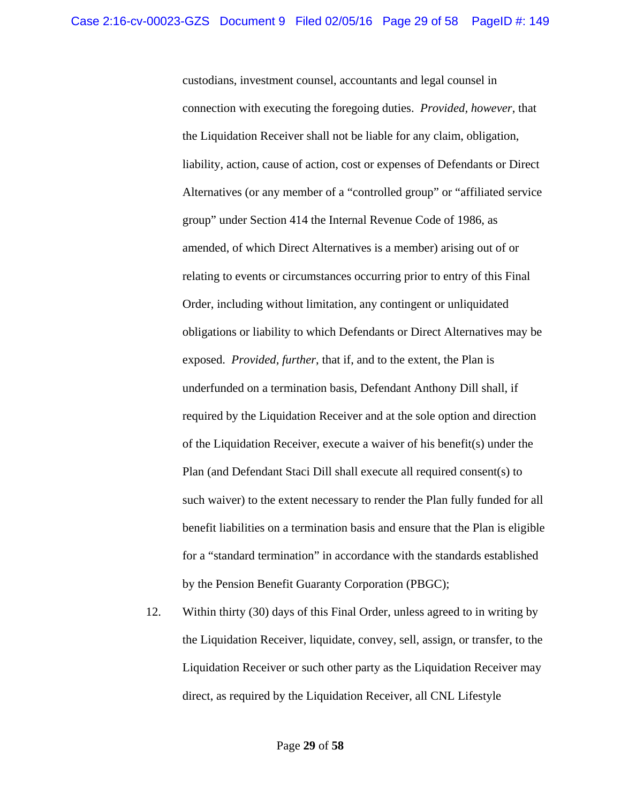custodians, investment counsel, accountants and legal counsel in connection with executing the foregoing duties. *Provided, however*, that the Liquidation Receiver shall not be liable for any claim, obligation, liability, action, cause of action, cost or expenses of Defendants or Direct Alternatives (or any member of a "controlled group" or "affiliated service group" under Section 414 the Internal Revenue Code of 1986, as amended, of which Direct Alternatives is a member) arising out of or relating to events or circumstances occurring prior to entry of this Final Order, including without limitation, any contingent or unliquidated obligations or liability to which Defendants or Direct Alternatives may be exposed. *Provided, further*, that if, and to the extent, the Plan is underfunded on a termination basis, Defendant Anthony Dill shall, if required by the Liquidation Receiver and at the sole option and direction of the Liquidation Receiver, execute a waiver of his benefit(s) under the Plan (and Defendant Staci Dill shall execute all required consent(s) to such waiver) to the extent necessary to render the Plan fully funded for all benefit liabilities on a termination basis and ensure that the Plan is eligible for a "standard termination" in accordance with the standards established by the Pension Benefit Guaranty Corporation (PBGC);

12. Within thirty (30) days of this Final Order, unless agreed to in writing by the Liquidation Receiver, liquidate, convey, sell, assign, or transfer, to the Liquidation Receiver or such other party as the Liquidation Receiver may direct, as required by the Liquidation Receiver, all CNL Lifestyle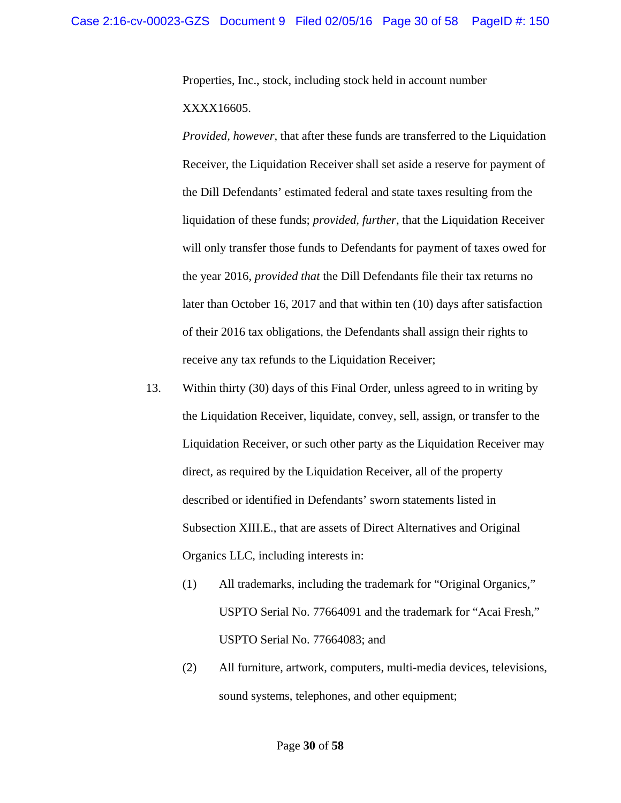Properties, Inc., stock, including stock held in account number XXXX16605.

*Provided, however*, that after these funds are transferred to the Liquidation Receiver, the Liquidation Receiver shall set aside a reserve for payment of the Dill Defendants' estimated federal and state taxes resulting from the liquidation of these funds; *provided, further*, that the Liquidation Receiver will only transfer those funds to Defendants for payment of taxes owed for the year 2016, *provided that* the Dill Defendants file their tax returns no later than October 16, 2017 and that within ten (10) days after satisfaction of their 2016 tax obligations, the Defendants shall assign their rights to receive any tax refunds to the Liquidation Receiver;

- 13. Within thirty (30) days of this Final Order, unless agreed to in writing by the Liquidation Receiver, liquidate, convey, sell, assign, or transfer to the Liquidation Receiver, or such other party as the Liquidation Receiver may direct, as required by the Liquidation Receiver, all of the property described or identified in Defendants' sworn statements listed in Subsection XIII.E., that are assets of Direct Alternatives and Original Organics LLC, including interests in:
	- (1) All trademarks, including the trademark for "Original Organics," USPTO Serial No. 77664091 and the trademark for "Acai Fresh," USPTO Serial No. 77664083; and
	- (2) All furniture, artwork, computers, multi-media devices, televisions, sound systems, telephones, and other equipment;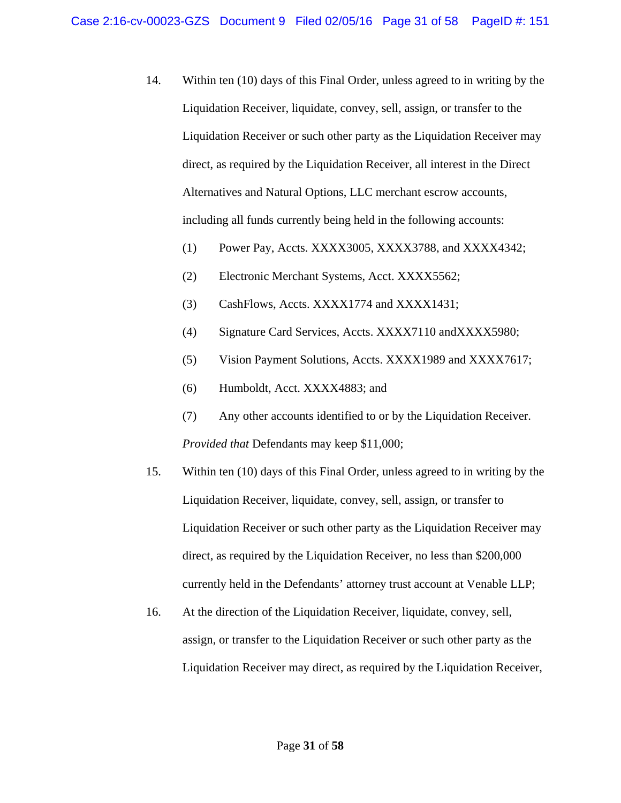- 14. Within ten (10) days of this Final Order, unless agreed to in writing by the Liquidation Receiver, liquidate, convey, sell, assign, or transfer to the Liquidation Receiver or such other party as the Liquidation Receiver may direct, as required by the Liquidation Receiver, all interest in the Direct Alternatives and Natural Options, LLC merchant escrow accounts, including all funds currently being held in the following accounts:
	- (1) Power Pay, Accts. XXXX3005, XXXX3788, and XXXX4342;
	- (2) Electronic Merchant Systems, Acct. XXXX5562;
	- (3) CashFlows, Accts. XXXX1774 and XXXX1431;
	- (4) Signature Card Services, Accts. XXXX7110 andXXXX5980;
	- (5) Vision Payment Solutions, Accts. XXXX1989 and XXXX7617;
	- (6) Humboldt, Acct. XXXX4883; and
	- (7) Any other accounts identified to or by the Liquidation Receiver. *Provided that* Defendants may keep \$11,000;
- 15. Within ten (10) days of this Final Order, unless agreed to in writing by the Liquidation Receiver, liquidate, convey, sell, assign, or transfer to Liquidation Receiver or such other party as the Liquidation Receiver may direct, as required by the Liquidation Receiver, no less than \$200,000 currently held in the Defendants' attorney trust account at Venable LLP;
- 16. At the direction of the Liquidation Receiver, liquidate, convey, sell, assign, or transfer to the Liquidation Receiver or such other party as the Liquidation Receiver may direct, as required by the Liquidation Receiver,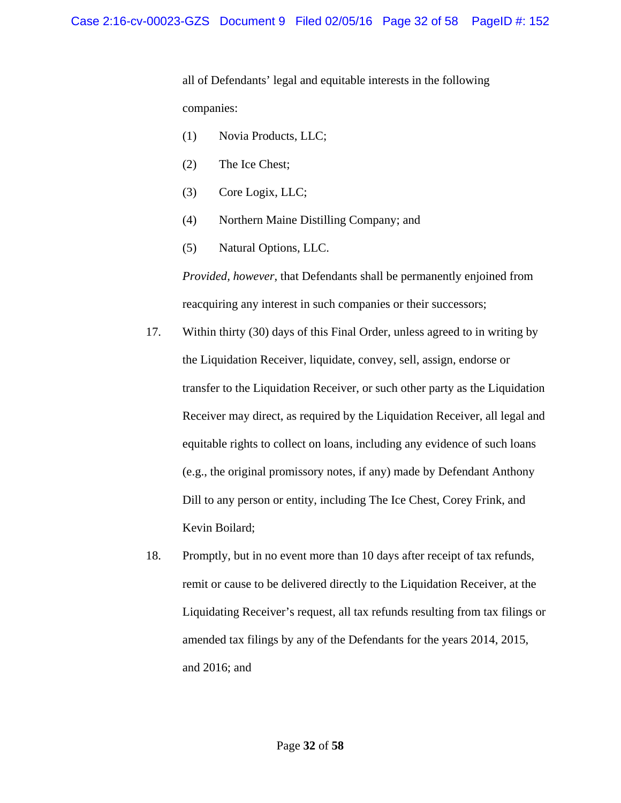all of Defendants' legal and equitable interests in the following companies:

- (1) Novia Products, LLC;
- (2) The Ice Chest;
- (3) Core Logix, LLC;
- (4) Northern Maine Distilling Company; and
- (5) Natural Options, LLC.

*Provided, however*, that Defendants shall be permanently enjoined from reacquiring any interest in such companies or their successors;

- 17. Within thirty (30) days of this Final Order, unless agreed to in writing by the Liquidation Receiver, liquidate, convey, sell, assign, endorse or transfer to the Liquidation Receiver, or such other party as the Liquidation Receiver may direct, as required by the Liquidation Receiver, all legal and equitable rights to collect on loans, including any evidence of such loans (e.g., the original promissory notes, if any) made by Defendant Anthony Dill to any person or entity, including The Ice Chest, Corey Frink, and Kevin Boilard;
- 18. Promptly, but in no event more than 10 days after receipt of tax refunds, remit or cause to be delivered directly to the Liquidation Receiver, at the Liquidating Receiver's request, all tax refunds resulting from tax filings or amended tax filings by any of the Defendants for the years 2014, 2015, and 2016; and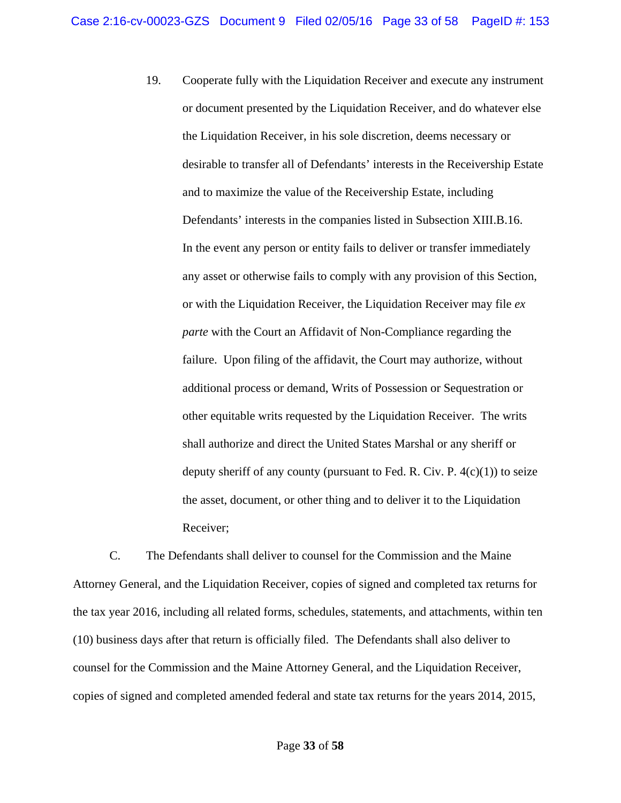19. Cooperate fully with the Liquidation Receiver and execute any instrument or document presented by the Liquidation Receiver, and do whatever else the Liquidation Receiver, in his sole discretion, deems necessary or desirable to transfer all of Defendants' interests in the Receivership Estate and to maximize the value of the Receivership Estate, including Defendants' interests in the companies listed in Subsection XIII.B.16. In the event any person or entity fails to deliver or transfer immediately any asset or otherwise fails to comply with any provision of this Section, or with the Liquidation Receiver, the Liquidation Receiver may file *ex parte* with the Court an Affidavit of Non-Compliance regarding the failure. Upon filing of the affidavit, the Court may authorize, without additional process or demand, Writs of Possession or Sequestration or other equitable writs requested by the Liquidation Receiver. The writs shall authorize and direct the United States Marshal or any sheriff or deputy sheriff of any county (pursuant to Fed. R. Civ. P.  $4(c)(1)$ ) to seize the asset, document, or other thing and to deliver it to the Liquidation Receiver;

 C. The Defendants shall deliver to counsel for the Commission and the Maine Attorney General, and the Liquidation Receiver, copies of signed and completed tax returns for the tax year 2016, including all related forms, schedules, statements, and attachments, within ten (10) business days after that return is officially filed. The Defendants shall also deliver to counsel for the Commission and the Maine Attorney General, and the Liquidation Receiver, copies of signed and completed amended federal and state tax returns for the years 2014, 2015,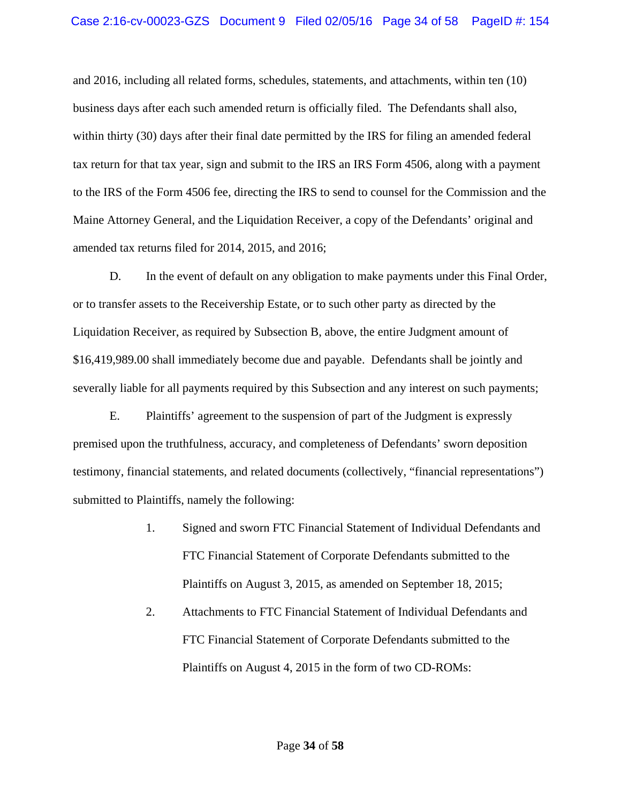and 2016, including all related forms, schedules, statements, and attachments, within ten (10) business days after each such amended return is officially filed. The Defendants shall also, within thirty (30) days after their final date permitted by the IRS for filing an amended federal tax return for that tax year, sign and submit to the IRS an IRS Form 4506, along with a payment to the IRS of the Form 4506 fee, directing the IRS to send to counsel for the Commission and the Maine Attorney General, and the Liquidation Receiver, a copy of the Defendants' original and amended tax returns filed for 2014, 2015, and 2016;

 D. In the event of default on any obligation to make payments under this Final Order, or to transfer assets to the Receivership Estate, or to such other party as directed by the Liquidation Receiver, as required by Subsection B, above, the entire Judgment amount of \$16,419,989.00 shall immediately become due and payable. Defendants shall be jointly and severally liable for all payments required by this Subsection and any interest on such payments;

 E. Plaintiffs' agreement to the suspension of part of the Judgment is expressly premised upon the truthfulness, accuracy, and completeness of Defendants' sworn deposition testimony, financial statements, and related documents (collectively, "financial representations") submitted to Plaintiffs, namely the following:

- 1. Signed and sworn FTC Financial Statement of Individual Defendants and FTC Financial Statement of Corporate Defendants submitted to the Plaintiffs on August 3, 2015, as amended on September 18, 2015;
- 2. Attachments to FTC Financial Statement of Individual Defendants and FTC Financial Statement of Corporate Defendants submitted to the Plaintiffs on August 4, 2015 in the form of two CD-ROMs: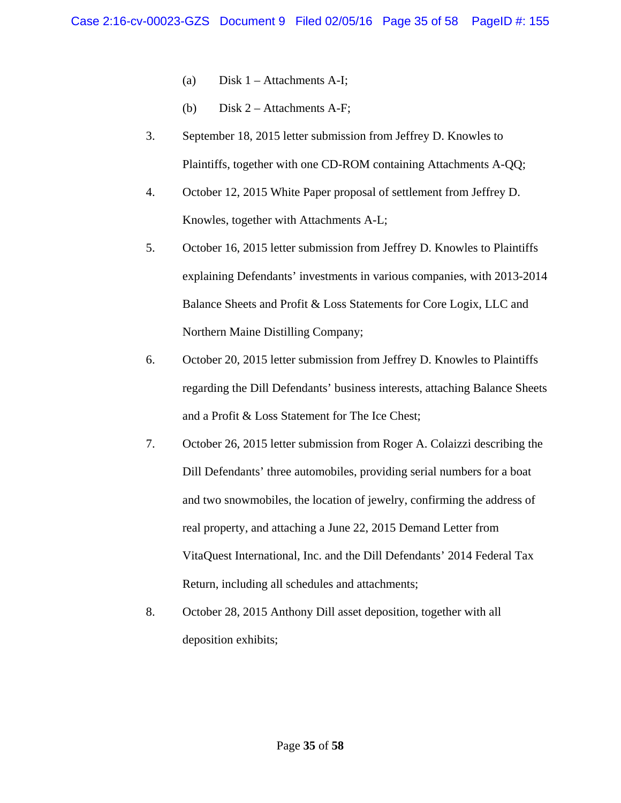- (a) Disk  $1 -$  Attachments A-I;
- (b) Disk 2 Attachments A-F;
- 3. September 18, 2015 letter submission from Jeffrey D. Knowles to Plaintiffs, together with one CD-ROM containing Attachments A-QQ;
- 4. October 12, 2015 White Paper proposal of settlement from Jeffrey D. Knowles, together with Attachments A-L;
- 5. October 16, 2015 letter submission from Jeffrey D. Knowles to Plaintiffs explaining Defendants' investments in various companies, with 2013-2014 Balance Sheets and Profit & Loss Statements for Core Logix, LLC and Northern Maine Distilling Company;
- 6. October 20, 2015 letter submission from Jeffrey D. Knowles to Plaintiffs regarding the Dill Defendants' business interests, attaching Balance Sheets and a Profit & Loss Statement for The Ice Chest;
- 7. October 26, 2015 letter submission from Roger A. Colaizzi describing the Dill Defendants' three automobiles, providing serial numbers for a boat and two snowmobiles, the location of jewelry, confirming the address of real property, and attaching a June 22, 2015 Demand Letter from VitaQuest International, Inc. and the Dill Defendants' 2014 Federal Tax Return, including all schedules and attachments;
- 8. October 28, 2015 Anthony Dill asset deposition, together with all deposition exhibits;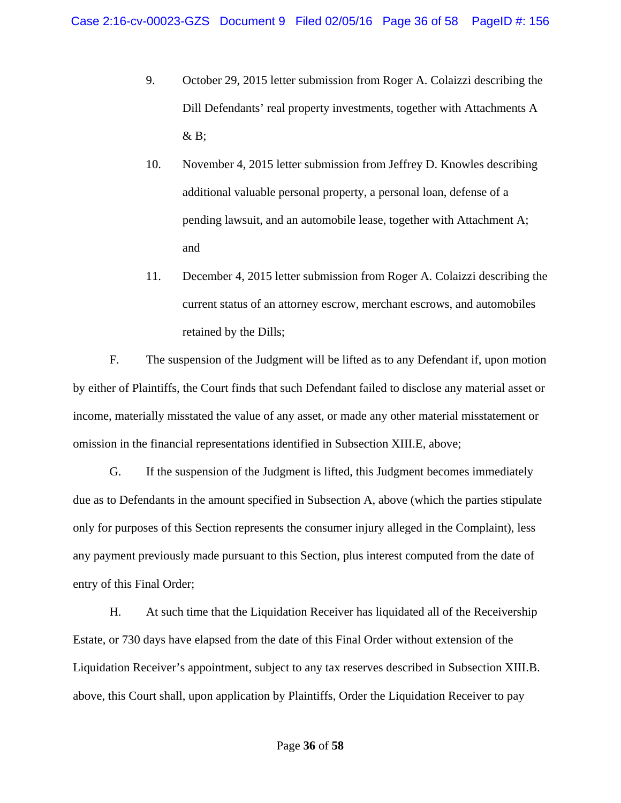- 9. October 29, 2015 letter submission from Roger A. Colaizzi describing the Dill Defendants' real property investments, together with Attachments A  $&B$ ;
- 10. November 4, 2015 letter submission from Jeffrey D. Knowles describing additional valuable personal property, a personal loan, defense of a pending lawsuit, and an automobile lease, together with Attachment A; and
- 11. December 4, 2015 letter submission from Roger A. Colaizzi describing the current status of an attorney escrow, merchant escrows, and automobiles retained by the Dills;

 F. The suspension of the Judgment will be lifted as to any Defendant if, upon motion by either of Plaintiffs, the Court finds that such Defendant failed to disclose any material asset or income, materially misstated the value of any asset, or made any other material misstatement or omission in the financial representations identified in Subsection XIII.E, above;

 G. If the suspension of the Judgment is lifted, this Judgment becomes immediately due as to Defendants in the amount specified in Subsection A, above (which the parties stipulate only for purposes of this Section represents the consumer injury alleged in the Complaint), less any payment previously made pursuant to this Section, plus interest computed from the date of entry of this Final Order;

 H. At such time that the Liquidation Receiver has liquidated all of the Receivership Estate, or 730 days have elapsed from the date of this Final Order without extension of the Liquidation Receiver's appointment, subject to any tax reserves described in Subsection XIII.B. above, this Court shall, upon application by Plaintiffs, Order the Liquidation Receiver to pay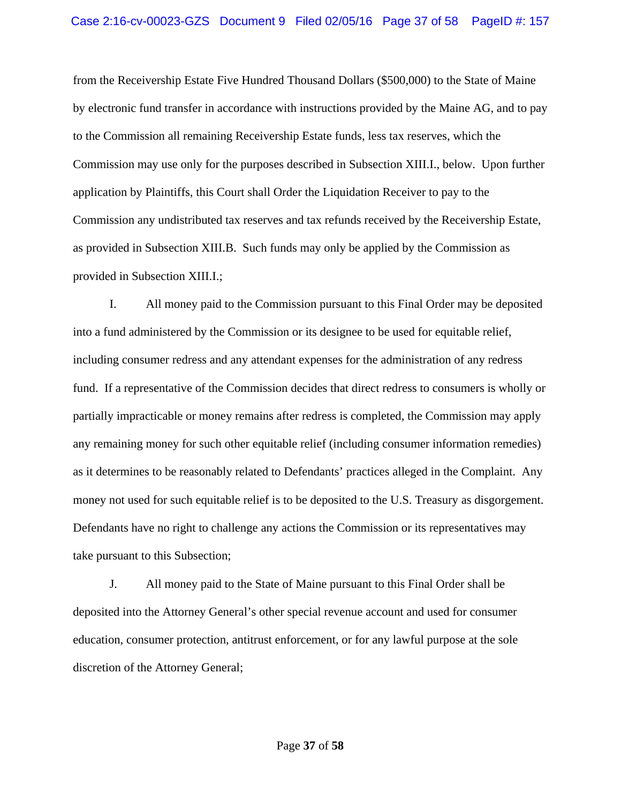from the Receivership Estate Five Hundred Thousand Dollars (\$500,000) to the State of Maine by electronic fund transfer in accordance with instructions provided by the Maine AG, and to pay to the Commission all remaining Receivership Estate funds, less tax reserves, which the Commission may use only for the purposes described in Subsection XIII.I., below. Upon further application by Plaintiffs, this Court shall Order the Liquidation Receiver to pay to the Commission any undistributed tax reserves and tax refunds received by the Receivership Estate, as provided in Subsection XIII.B. Such funds may only be applied by the Commission as provided in Subsection XIII.I.;

 I. All money paid to the Commission pursuant to this Final Order may be deposited into a fund administered by the Commission or its designee to be used for equitable relief, including consumer redress and any attendant expenses for the administration of any redress fund. If a representative of the Commission decides that direct redress to consumers is wholly or partially impracticable or money remains after redress is completed, the Commission may apply any remaining money for such other equitable relief (including consumer information remedies) as it determines to be reasonably related to Defendants' practices alleged in the Complaint. Any money not used for such equitable relief is to be deposited to the U.S. Treasury as disgorgement. Defendants have no right to challenge any actions the Commission or its representatives may take pursuant to this Subsection;

 J. All money paid to the State of Maine pursuant to this Final Order shall be deposited into the Attorney General's other special revenue account and used for consumer education, consumer protection, antitrust enforcement, or for any lawful purpose at the sole discretion of the Attorney General;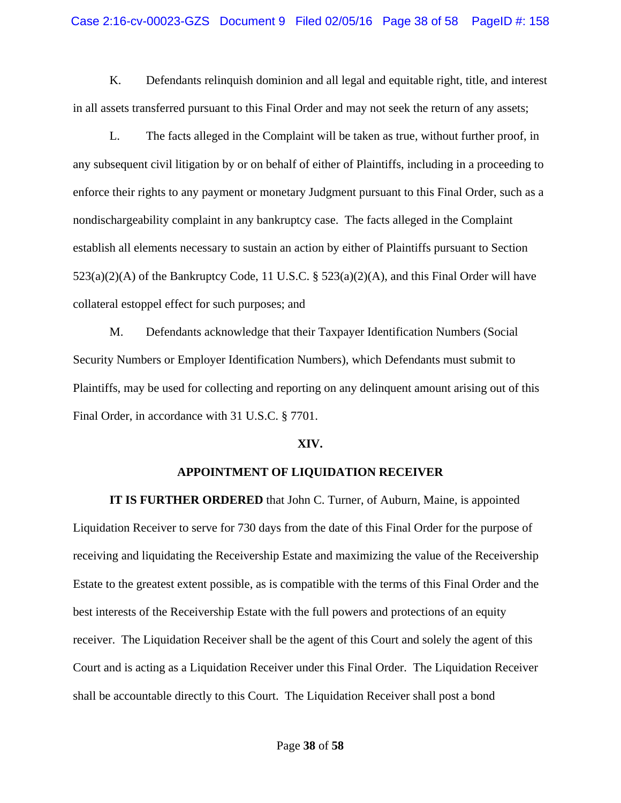K. Defendants relinquish dominion and all legal and equitable right, title, and interest in all assets transferred pursuant to this Final Order and may not seek the return of any assets;

 L. The facts alleged in the Complaint will be taken as true, without further proof, in any subsequent civil litigation by or on behalf of either of Plaintiffs, including in a proceeding to enforce their rights to any payment or monetary Judgment pursuant to this Final Order, such as a nondischargeability complaint in any bankruptcy case. The facts alleged in the Complaint establish all elements necessary to sustain an action by either of Plaintiffs pursuant to Section  $523(a)(2)(A)$  of the Bankruptcy Code, 11 U.S.C. §  $523(a)(2)(A)$ , and this Final Order will have collateral estoppel effect for such purposes; and

 M. Defendants acknowledge that their Taxpayer Identification Numbers (Social Security Numbers or Employer Identification Numbers), which Defendants must submit to Plaintiffs, may be used for collecting and reporting on any delinquent amount arising out of this Final Order, in accordance with 31 U.S.C. § 7701.

#### **XIV.**

#### **APPOINTMENT OF LIQUIDATION RECEIVER**

**IT IS FURTHER ORDERED** that John C. Turner, of Auburn, Maine, is appointed Liquidation Receiver to serve for 730 days from the date of this Final Order for the purpose of receiving and liquidating the Receivership Estate and maximizing the value of the Receivership Estate to the greatest extent possible, as is compatible with the terms of this Final Order and the best interests of the Receivership Estate with the full powers and protections of an equity receiver. The Liquidation Receiver shall be the agent of this Court and solely the agent of this Court and is acting as a Liquidation Receiver under this Final Order. The Liquidation Receiver shall be accountable directly to this Court. The Liquidation Receiver shall post a bond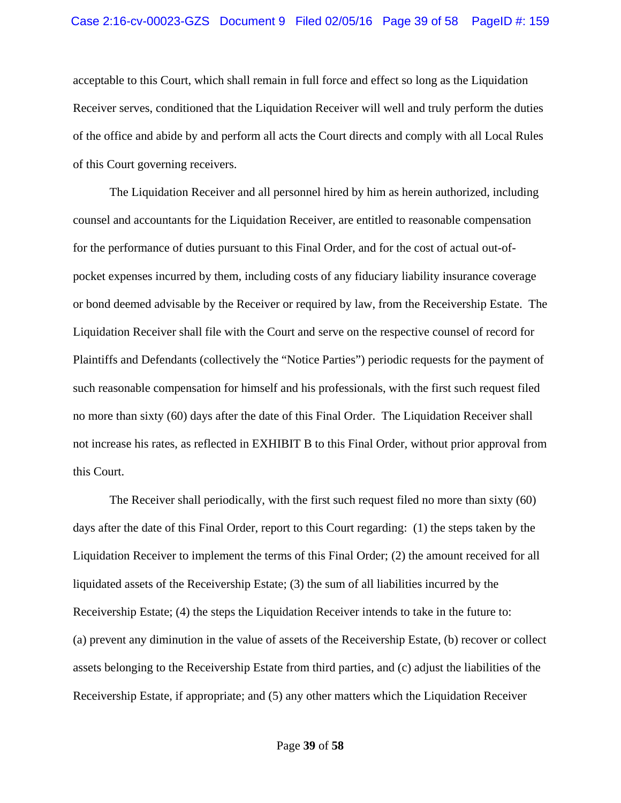acceptable to this Court, which shall remain in full force and effect so long as the Liquidation Receiver serves, conditioned that the Liquidation Receiver will well and truly perform the duties of the office and abide by and perform all acts the Court directs and comply with all Local Rules of this Court governing receivers.

 The Liquidation Receiver and all personnel hired by him as herein authorized, including counsel and accountants for the Liquidation Receiver, are entitled to reasonable compensation for the performance of duties pursuant to this Final Order, and for the cost of actual out-ofpocket expenses incurred by them, including costs of any fiduciary liability insurance coverage or bond deemed advisable by the Receiver or required by law, from the Receivership Estate. The Liquidation Receiver shall file with the Court and serve on the respective counsel of record for Plaintiffs and Defendants (collectively the "Notice Parties") periodic requests for the payment of such reasonable compensation for himself and his professionals, with the first such request filed no more than sixty (60) days after the date of this Final Order. The Liquidation Receiver shall not increase his rates, as reflected in EXHIBIT B to this Final Order, without prior approval from this Court.

 The Receiver shall periodically, with the first such request filed no more than sixty (60) days after the date of this Final Order, report to this Court regarding: (1) the steps taken by the Liquidation Receiver to implement the terms of this Final Order; (2) the amount received for all liquidated assets of the Receivership Estate; (3) the sum of all liabilities incurred by the Receivership Estate; (4) the steps the Liquidation Receiver intends to take in the future to: (a) prevent any diminution in the value of assets of the Receivership Estate, (b) recover or collect assets belonging to the Receivership Estate from third parties, and (c) adjust the liabilities of the Receivership Estate, if appropriate; and (5) any other matters which the Liquidation Receiver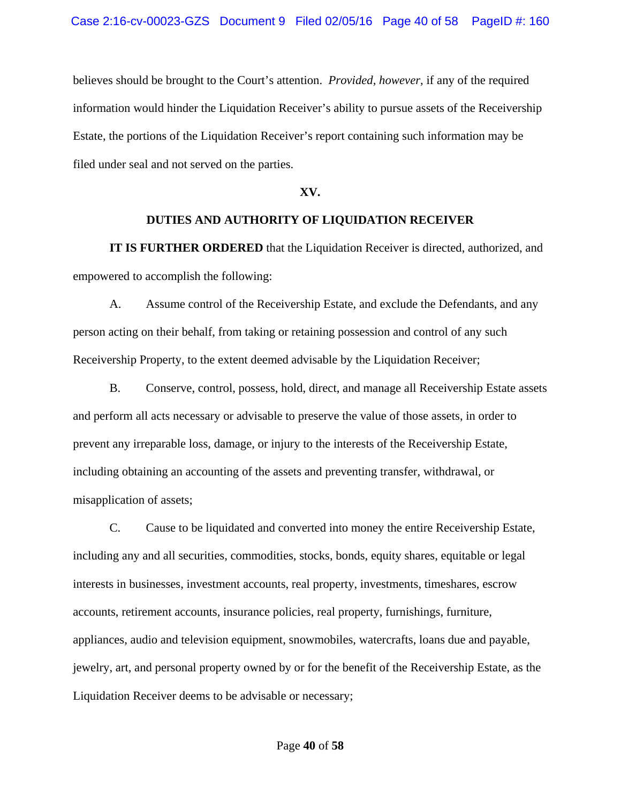believes should be brought to the Court's attention. *Provided, however,* if any of the required information would hinder the Liquidation Receiver's ability to pursue assets of the Receivership Estate, the portions of the Liquidation Receiver's report containing such information may be filed under seal and not served on the parties.

### **XV.**

#### **DUTIES AND AUTHORITY OF LIQUIDATION RECEIVER**

 **IT IS FURTHER ORDERED** that the Liquidation Receiver is directed, authorized, and empowered to accomplish the following:

A. Assume control of the Receivership Estate, and exclude the Defendants, and any person acting on their behalf, from taking or retaining possession and control of any such Receivership Property, to the extent deemed advisable by the Liquidation Receiver;

B. Conserve, control, possess, hold, direct, and manage all Receivership Estate assets and perform all acts necessary or advisable to preserve the value of those assets, in order to prevent any irreparable loss, damage, or injury to the interests of the Receivership Estate, including obtaining an accounting of the assets and preventing transfer, withdrawal, or misapplication of assets;

C. Cause to be liquidated and converted into money the entire Receivership Estate, including any and all securities, commodities, stocks, bonds, equity shares, equitable or legal interests in businesses, investment accounts, real property, investments, timeshares, escrow accounts, retirement accounts, insurance policies, real property, furnishings, furniture, appliances, audio and television equipment, snowmobiles, watercrafts, loans due and payable, jewelry, art, and personal property owned by or for the benefit of the Receivership Estate, as the Liquidation Receiver deems to be advisable or necessary;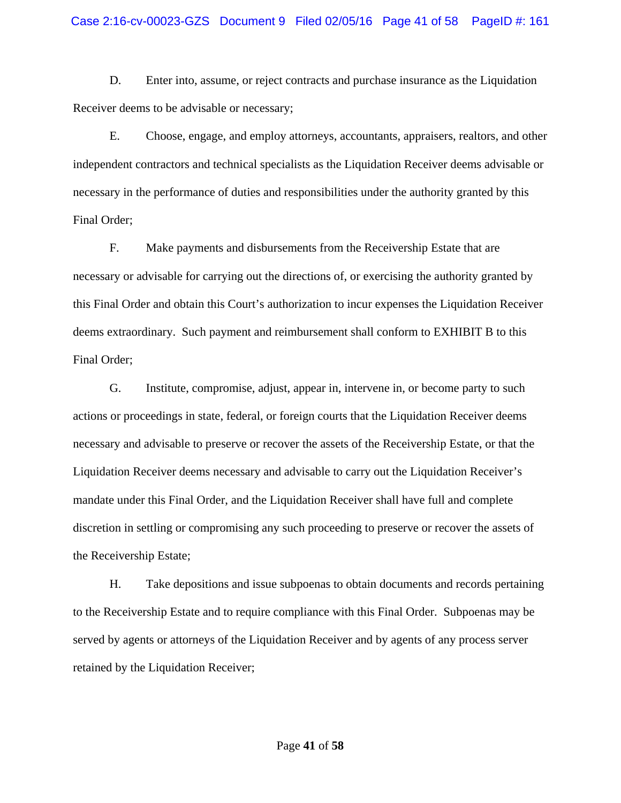D. Enter into, assume, or reject contracts and purchase insurance as the Liquidation Receiver deems to be advisable or necessary;

E. Choose, engage, and employ attorneys, accountants, appraisers, realtors, and other independent contractors and technical specialists as the Liquidation Receiver deems advisable or necessary in the performance of duties and responsibilities under the authority granted by this Final Order;

F. Make payments and disbursements from the Receivership Estate that are necessary or advisable for carrying out the directions of, or exercising the authority granted by this Final Order and obtain this Court's authorization to incur expenses the Liquidation Receiver deems extraordinary. Such payment and reimbursement shall conform to EXHIBIT B to this Final Order;

G. Institute, compromise, adjust, appear in, intervene in, or become party to such actions or proceedings in state, federal, or foreign courts that the Liquidation Receiver deems necessary and advisable to preserve or recover the assets of the Receivership Estate, or that the Liquidation Receiver deems necessary and advisable to carry out the Liquidation Receiver's mandate under this Final Order, and the Liquidation Receiver shall have full and complete discretion in settling or compromising any such proceeding to preserve or recover the assets of the Receivership Estate;

H. Take depositions and issue subpoenas to obtain documents and records pertaining to the Receivership Estate and to require compliance with this Final Order. Subpoenas may be served by agents or attorneys of the Liquidation Receiver and by agents of any process server retained by the Liquidation Receiver;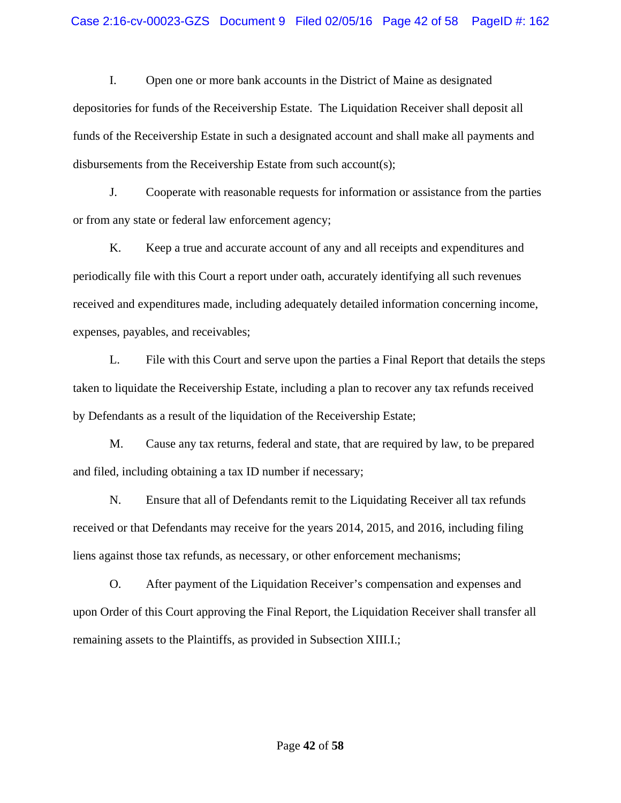I. Open one or more bank accounts in the District of Maine as designated depositories for funds of the Receivership Estate. The Liquidation Receiver shall deposit all funds of the Receivership Estate in such a designated account and shall make all payments and disbursements from the Receivership Estate from such account(s);

J. Cooperate with reasonable requests for information or assistance from the parties or from any state or federal law enforcement agency;

K. Keep a true and accurate account of any and all receipts and expenditures and periodically file with this Court a report under oath, accurately identifying all such revenues received and expenditures made, including adequately detailed information concerning income, expenses, payables, and receivables;

L. File with this Court and serve upon the parties a Final Report that details the steps taken to liquidate the Receivership Estate, including a plan to recover any tax refunds received by Defendants as a result of the liquidation of the Receivership Estate;

M. Cause any tax returns, federal and state, that are required by law, to be prepared and filed, including obtaining a tax ID number if necessary;

N. Ensure that all of Defendants remit to the Liquidating Receiver all tax refunds received or that Defendants may receive for the years 2014, 2015, and 2016, including filing liens against those tax refunds, as necessary, or other enforcement mechanisms;

O. After payment of the Liquidation Receiver's compensation and expenses and upon Order of this Court approving the Final Report, the Liquidation Receiver shall transfer all remaining assets to the Plaintiffs, as provided in Subsection XIII.I.;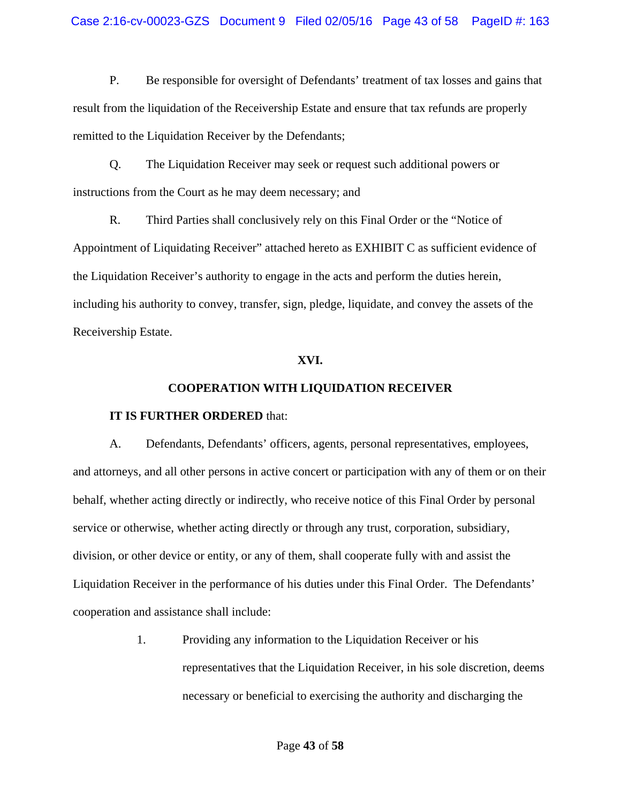P. Be responsible for oversight of Defendants' treatment of tax losses and gains that result from the liquidation of the Receivership Estate and ensure that tax refunds are properly remitted to the Liquidation Receiver by the Defendants;

Q. The Liquidation Receiver may seek or request such additional powers or instructions from the Court as he may deem necessary; and

R. Third Parties shall conclusively rely on this Final Order or the "Notice of Appointment of Liquidating Receiver" attached hereto as EXHIBIT C as sufficient evidence of the Liquidation Receiver's authority to engage in the acts and perform the duties herein, including his authority to convey, transfer, sign, pledge, liquidate, and convey the assets of the Receivership Estate.

### **XVI.**

## **COOPERATION WITH LIQUIDATION RECEIVER**

#### **IT IS FURTHER ORDERED** that:

A. Defendants, Defendants' officers, agents, personal representatives, employees, and attorneys, and all other persons in active concert or participation with any of them or on their behalf, whether acting directly or indirectly, who receive notice of this Final Order by personal service or otherwise, whether acting directly or through any trust, corporation, subsidiary, division, or other device or entity, or any of them, shall cooperate fully with and assist the Liquidation Receiver in the performance of his duties under this Final Order. The Defendants' cooperation and assistance shall include:

> 1. Providing any information to the Liquidation Receiver or his representatives that the Liquidation Receiver, in his sole discretion, deems necessary or beneficial to exercising the authority and discharging the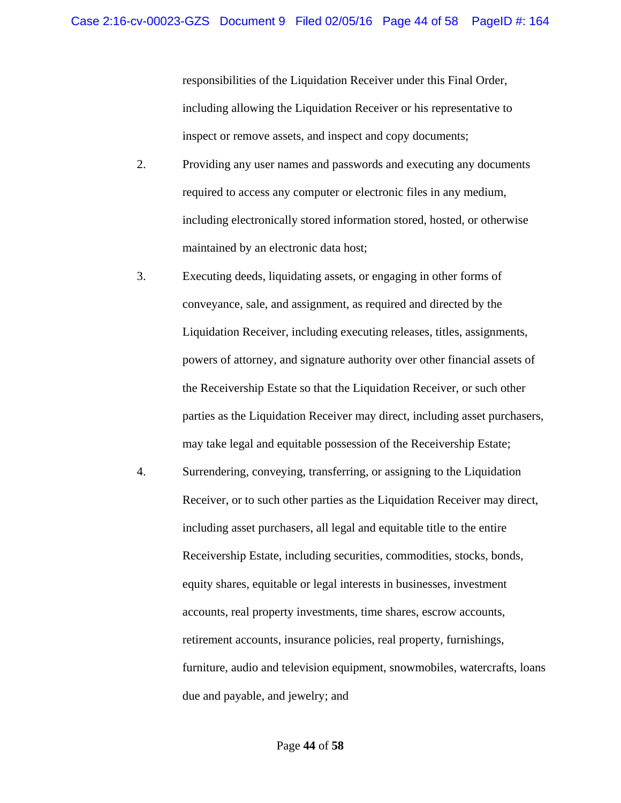responsibilities of the Liquidation Receiver under this Final Order, including allowing the Liquidation Receiver or his representative to inspect or remove assets, and inspect and copy documents;

- 2. Providing any user names and passwords and executing any documents required to access any computer or electronic files in any medium, including electronically stored information stored, hosted, or otherwise maintained by an electronic data host;
- 3. Executing deeds, liquidating assets, or engaging in other forms of conveyance, sale, and assignment, as required and directed by the Liquidation Receiver, including executing releases, titles, assignments, powers of attorney, and signature authority over other financial assets of the Receivership Estate so that the Liquidation Receiver, or such other parties as the Liquidation Receiver may direct, including asset purchasers, may take legal and equitable possession of the Receivership Estate;
- 4. Surrendering, conveying, transferring, or assigning to the Liquidation Receiver, or to such other parties as the Liquidation Receiver may direct, including asset purchasers, all legal and equitable title to the entire Receivership Estate, including securities, commodities, stocks, bonds, equity shares, equitable or legal interests in businesses, investment accounts, real property investments, time shares, escrow accounts, retirement accounts, insurance policies, real property, furnishings, furniture, audio and television equipment, snowmobiles, watercrafts, loans due and payable, and jewelry; and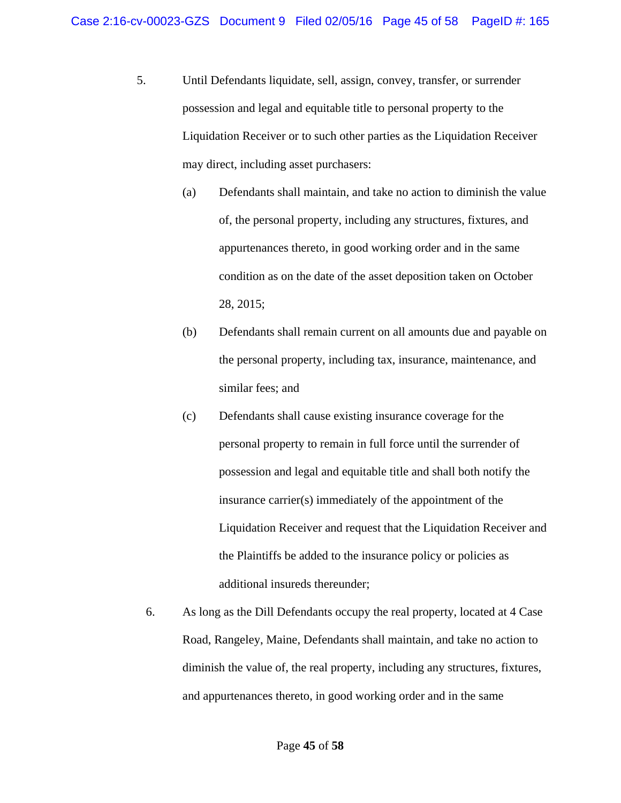- 5. Until Defendants liquidate, sell, assign, convey, transfer, or surrender possession and legal and equitable title to personal property to the Liquidation Receiver or to such other parties as the Liquidation Receiver may direct, including asset purchasers:
	- (a) Defendants shall maintain, and take no action to diminish the value of, the personal property, including any structures, fixtures, and appurtenances thereto, in good working order and in the same condition as on the date of the asset deposition taken on October 28, 2015;
	- (b) Defendants shall remain current on all amounts due and payable on the personal property, including tax, insurance, maintenance, and similar fees; and
	- (c) Defendants shall cause existing insurance coverage for the personal property to remain in full force until the surrender of possession and legal and equitable title and shall both notify the insurance carrier(s) immediately of the appointment of the Liquidation Receiver and request that the Liquidation Receiver and the Plaintiffs be added to the insurance policy or policies as additional insureds thereunder;
	- 6. As long as the Dill Defendants occupy the real property, located at 4 Case Road, Rangeley, Maine, Defendants shall maintain, and take no action to diminish the value of, the real property, including any structures, fixtures, and appurtenances thereto, in good working order and in the same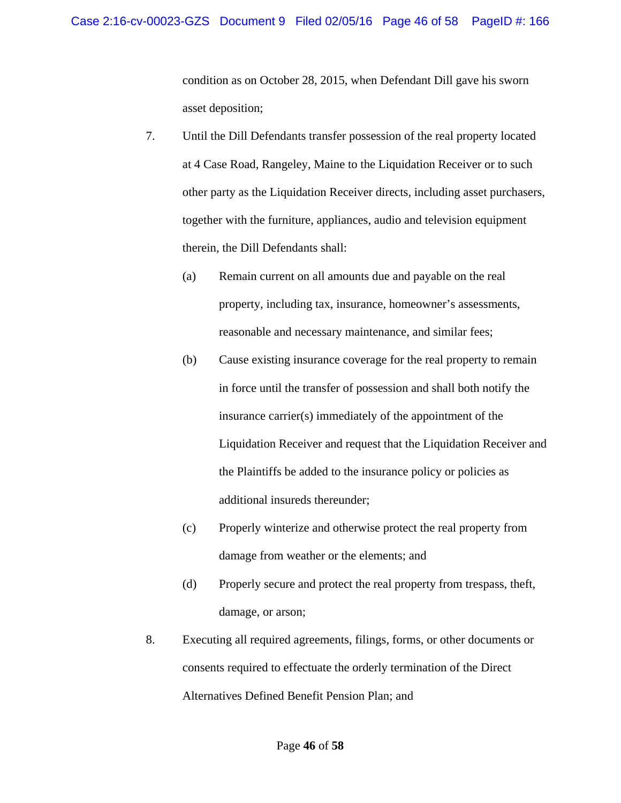condition as on October 28, 2015, when Defendant Dill gave his sworn asset deposition;

- 7. Until the Dill Defendants transfer possession of the real property located at 4 Case Road, Rangeley, Maine to the Liquidation Receiver or to such other party as the Liquidation Receiver directs, including asset purchasers, together with the furniture, appliances, audio and television equipment therein, the Dill Defendants shall:
	- (a) Remain current on all amounts due and payable on the real property, including tax, insurance, homeowner's assessments, reasonable and necessary maintenance, and similar fees;
	- (b) Cause existing insurance coverage for the real property to remain in force until the transfer of possession and shall both notify the insurance carrier(s) immediately of the appointment of the Liquidation Receiver and request that the Liquidation Receiver and the Plaintiffs be added to the insurance policy or policies as additional insureds thereunder;
	- (c) Properly winterize and otherwise protect the real property from damage from weather or the elements; and
	- (d) Properly secure and protect the real property from trespass, theft, damage, or arson;
- 8. Executing all required agreements, filings, forms, or other documents or consents required to effectuate the orderly termination of the Direct Alternatives Defined Benefit Pension Plan; and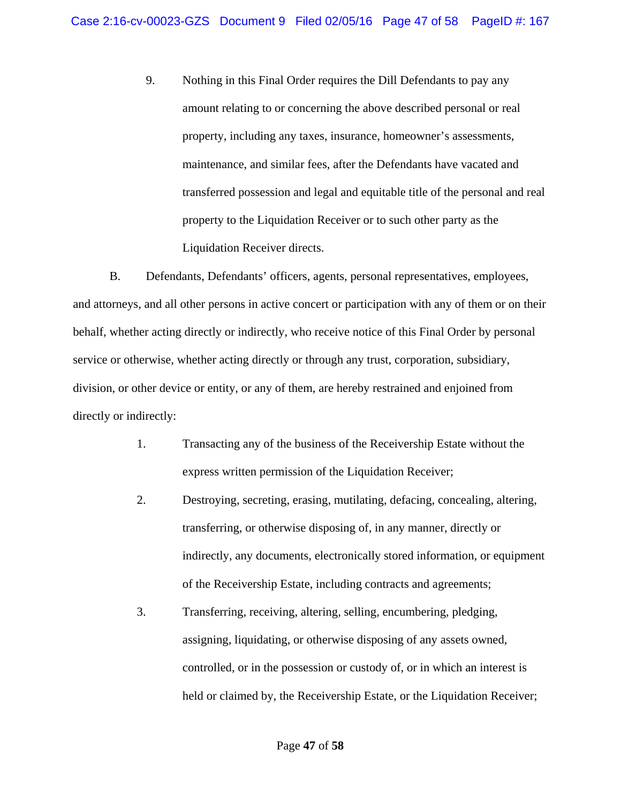9. Nothing in this Final Order requires the Dill Defendants to pay any amount relating to or concerning the above described personal or real property, including any taxes, insurance, homeowner's assessments, maintenance, and similar fees, after the Defendants have vacated and transferred possession and legal and equitable title of the personal and real property to the Liquidation Receiver or to such other party as the Liquidation Receiver directs.

B. Defendants, Defendants' officers, agents, personal representatives, employees, and attorneys, and all other persons in active concert or participation with any of them or on their behalf, whether acting directly or indirectly, who receive notice of this Final Order by personal service or otherwise, whether acting directly or through any trust, corporation, subsidiary, division, or other device or entity, or any of them, are hereby restrained and enjoined from directly or indirectly:

- 1. Transacting any of the business of the Receivership Estate without the express written permission of the Liquidation Receiver;
- 2. Destroying, secreting, erasing, mutilating, defacing, concealing, altering, transferring, or otherwise disposing of, in any manner, directly or indirectly, any documents, electronically stored information, or equipment of the Receivership Estate, including contracts and agreements;
- 3. Transferring, receiving, altering, selling, encumbering, pledging, assigning, liquidating, or otherwise disposing of any assets owned, controlled, or in the possession or custody of, or in which an interest is held or claimed by, the Receivership Estate, or the Liquidation Receiver;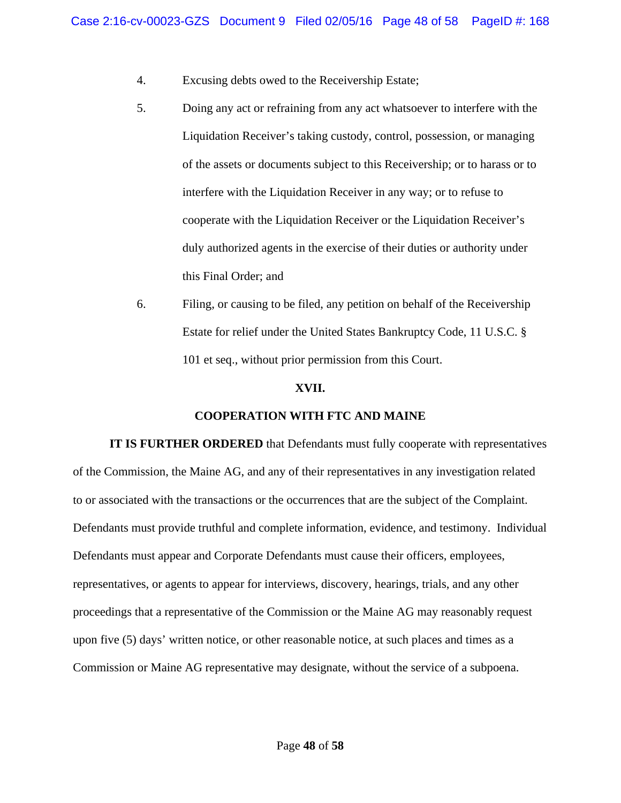- 4. Excusing debts owed to the Receivership Estate;
- 5. Doing any act or refraining from any act whatsoever to interfere with the Liquidation Receiver's taking custody, control, possession, or managing of the assets or documents subject to this Receivership; or to harass or to interfere with the Liquidation Receiver in any way; or to refuse to cooperate with the Liquidation Receiver or the Liquidation Receiver's duly authorized agents in the exercise of their duties or authority under this Final Order; and
- 6. Filing, or causing to be filed, any petition on behalf of the Receivership Estate for relief under the United States Bankruptcy Code, 11 U.S.C. § 101 et seq., without prior permission from this Court.

#### **XVII.**

#### **COOPERATION WITH FTC AND MAINE**

**IT IS FURTHER ORDERED** that Defendants must fully cooperate with representatives of the Commission, the Maine AG, and any of their representatives in any investigation related to or associated with the transactions or the occurrences that are the subject of the Complaint. Defendants must provide truthful and complete information, evidence, and testimony. Individual Defendants must appear and Corporate Defendants must cause their officers, employees, representatives, or agents to appear for interviews, discovery, hearings, trials, and any other proceedings that a representative of the Commission or the Maine AG may reasonably request upon five (5) days' written notice, or other reasonable notice, at such places and times as a Commission or Maine AG representative may designate, without the service of a subpoena.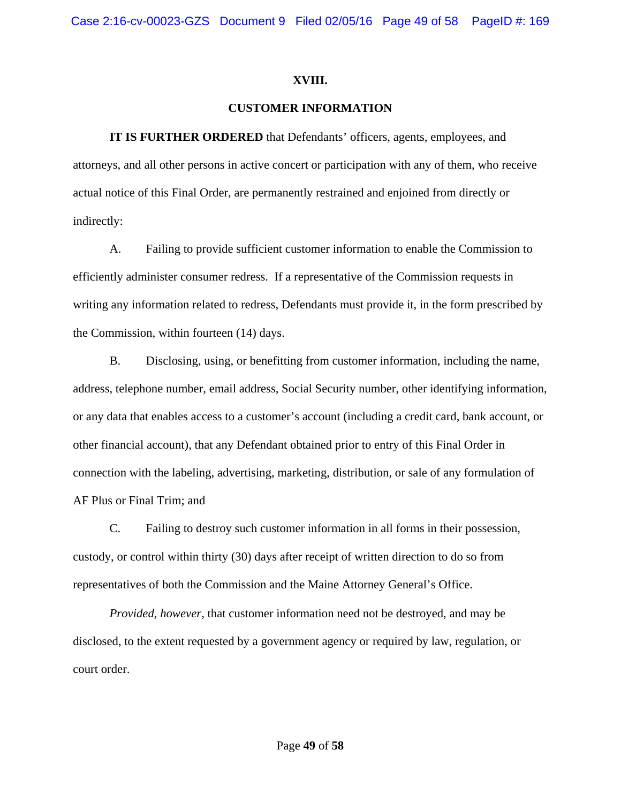### **XVIII.**

# **CUSTOMER INFORMATION**

**IT IS FURTHER ORDERED** that Defendants' officers, agents, employees, and attorneys, and all other persons in active concert or participation with any of them, who receive actual notice of this Final Order, are permanently restrained and enjoined from directly or indirectly:

A. Failing to provide sufficient customer information to enable the Commission to efficiently administer consumer redress. If a representative of the Commission requests in writing any information related to redress, Defendants must provide it, in the form prescribed by the Commission, within fourteen (14) days.

B. Disclosing, using, or benefitting from customer information, including the name, address, telephone number, email address, Social Security number, other identifying information, or any data that enables access to a customer's account (including a credit card, bank account, or other financial account), that any Defendant obtained prior to entry of this Final Order in connection with the labeling, advertising, marketing, distribution, or sale of any formulation of AF Plus or Final Trim; and

C. Failing to destroy such customer information in all forms in their possession, custody, or control within thirty (30) days after receipt of written direction to do so from representatives of both the Commission and the Maine Attorney General's Office.

*Provided, however,* that customer information need not be destroyed, and may be disclosed, to the extent requested by a government agency or required by law, regulation, or court order.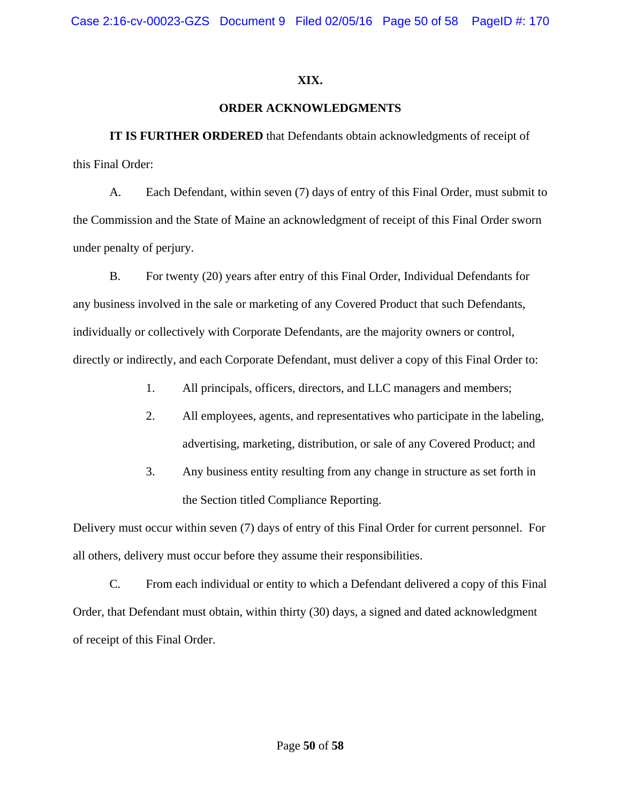# **XIX.**

# **ORDER ACKNOWLEDGMENTS**

**IT IS FURTHER ORDERED** that Defendants obtain acknowledgments of receipt of this Final Order:

A. Each Defendant, within seven (7) days of entry of this Final Order, must submit to the Commission and the State of Maine an acknowledgment of receipt of this Final Order sworn under penalty of perjury.

B. For twenty (20) years after entry of this Final Order, Individual Defendants for any business involved in the sale or marketing of any Covered Product that such Defendants, individually or collectively with Corporate Defendants, are the majority owners or control, directly or indirectly, and each Corporate Defendant, must deliver a copy of this Final Order to:

- 1. All principals, officers, directors, and LLC managers and members;
- 2. All employees, agents, and representatives who participate in the labeling, advertising, marketing, distribution, or sale of any Covered Product; and
- 3. Any business entity resulting from any change in structure as set forth in the Section titled Compliance Reporting.

Delivery must occur within seven (7) days of entry of this Final Order for current personnel. For all others, delivery must occur before they assume their responsibilities.

C. From each individual or entity to which a Defendant delivered a copy of this Final Order, that Defendant must obtain, within thirty (30) days, a signed and dated acknowledgment of receipt of this Final Order.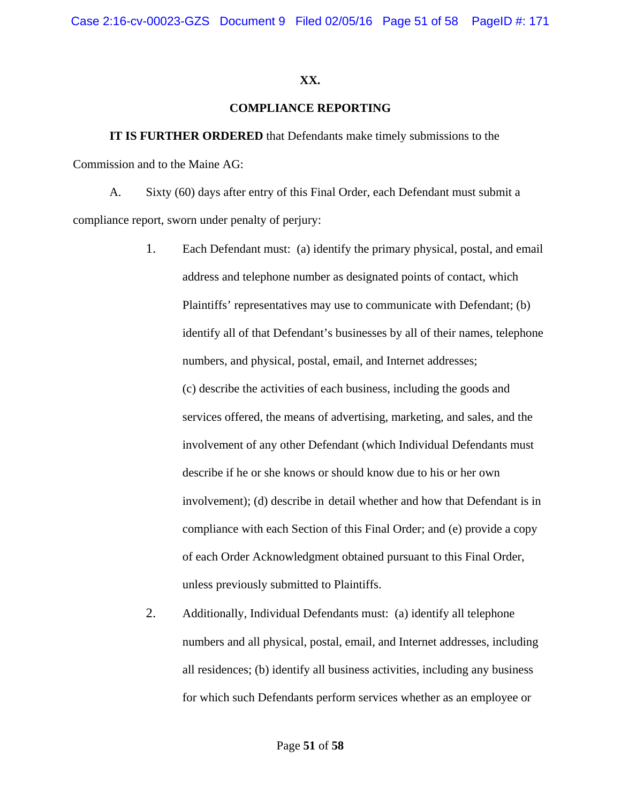### **XX.**

# **COMPLIANCE REPORTING**

**IT IS FURTHER ORDERED** that Defendants make timely submissions to the Commission and to the Maine AG:

A. Sixty (60) days after entry of this Final Order, each Defendant must submit a compliance report, sworn under penalty of perjury:

- 1. Each Defendant must: (a) identify the primary physical, postal, and email address and telephone number as designated points of contact, which Plaintiffs' representatives may use to communicate with Defendant; (b) identify all of that Defendant's businesses by all of their names, telephone numbers, and physical, postal, email, and Internet addresses; (c) describe the activities of each business, including the goods and services offered, the means of advertising, marketing, and sales, and the involvement of any other Defendant (which Individual Defendants must describe if he or she knows or should know due to his or her own involvement); (d) describe in detail whether and how that Defendant is in compliance with each Section of this Final Order; and (e) provide a copy of each Order Acknowledgment obtained pursuant to this Final Order, unless previously submitted to Plaintiffs.
- 2. Additionally, Individual Defendants must: (a) identify all telephone numbers and all physical, postal, email, and Internet addresses, including all residences; (b) identify all business activities, including any business for which such Defendants perform services whether as an employee or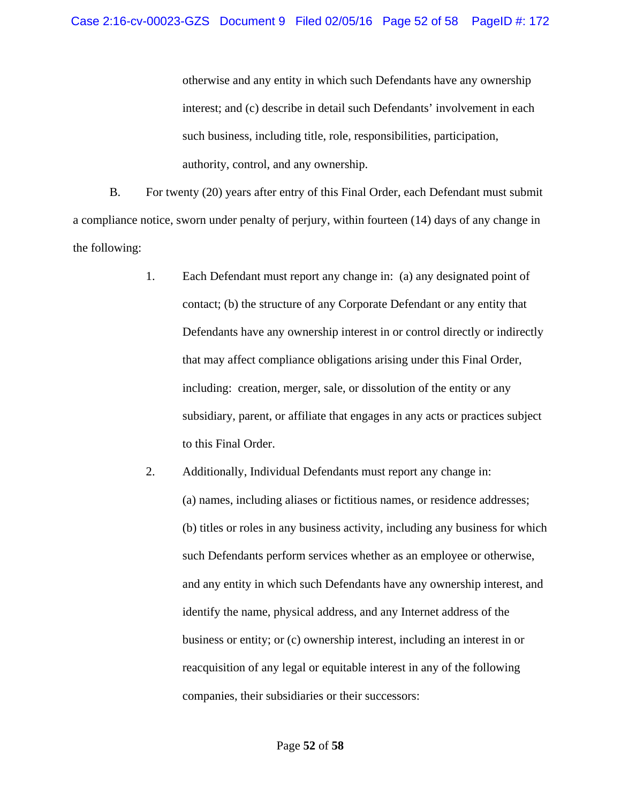otherwise and any entity in which such Defendants have any ownership interest; and (c) describe in detail such Defendants' involvement in each such business, including title, role, responsibilities, participation, authority, control, and any ownership.

B. For twenty (20) years after entry of this Final Order, each Defendant must submit a compliance notice, sworn under penalty of perjury, within fourteen (14) days of any change in the following:

- 1. Each Defendant must report any change in: (a) any designated point of contact; (b) the structure of any Corporate Defendant or any entity that Defendants have any ownership interest in or control directly or indirectly that may affect compliance obligations arising under this Final Order, including: creation, merger, sale, or dissolution of the entity or any subsidiary, parent, or affiliate that engages in any acts or practices subject to this Final Order.
- 2. Additionally, Individual Defendants must report any change in: (a) names, including aliases or fictitious names, or residence addresses; (b) titles or roles in any business activity, including any business for which such Defendants perform services whether as an employee or otherwise, and any entity in which such Defendants have any ownership interest, and identify the name, physical address, and any Internet address of the business or entity; or (c) ownership interest, including an interest in or reacquisition of any legal or equitable interest in any of the following companies, their subsidiaries or their successors: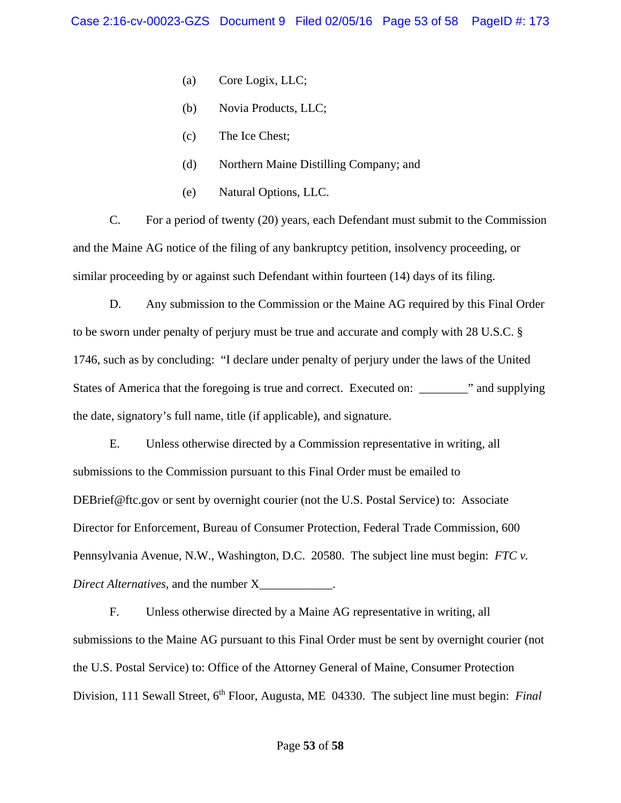- (a) Core Logix, LLC;
- (b) Novia Products, LLC;
- (c) The Ice Chest;
- (d) Northern Maine Distilling Company; and
- (e) Natural Options, LLC.

C. For a period of twenty (20) years, each Defendant must submit to the Commission and the Maine AG notice of the filing of any bankruptcy petition, insolvency proceeding, or similar proceeding by or against such Defendant within fourteen (14) days of its filing.

D. Any submission to the Commission or the Maine AG required by this Final Order to be sworn under penalty of perjury must be true and accurate and comply with 28 U.S.C. § 1746, such as by concluding: "I declare under penalty of perjury under the laws of the United States of America that the foregoing is true and correct. Executed on: \_\_\_\_\_\_\_\_\_" and supplying the date, signatory's full name, title (if applicable), and signature.

E. Unless otherwise directed by a Commission representative in writing, all submissions to the Commission pursuant to this Final Order must be emailed to DEBrief@ftc.gov or sent by overnight courier (not the U.S. Postal Service) to: Associate Director for Enforcement, Bureau of Consumer Protection, Federal Trade Commission, 600 Pennsylvania Avenue, N.W., Washington, D.C. 20580. The subject line must begin: *FTC v. Direct Alternatives*, and the number X\_\_\_\_\_\_\_\_\_\_\_\_.

F. Unless otherwise directed by a Maine AG representative in writing, all submissions to the Maine AG pursuant to this Final Order must be sent by overnight courier (not the U.S. Postal Service) to: Office of the Attorney General of Maine, Consumer Protection Division, 111 Sewall Street, 6<sup>th</sup> Floor, Augusta, ME 04330. The subject line must begin: *Final*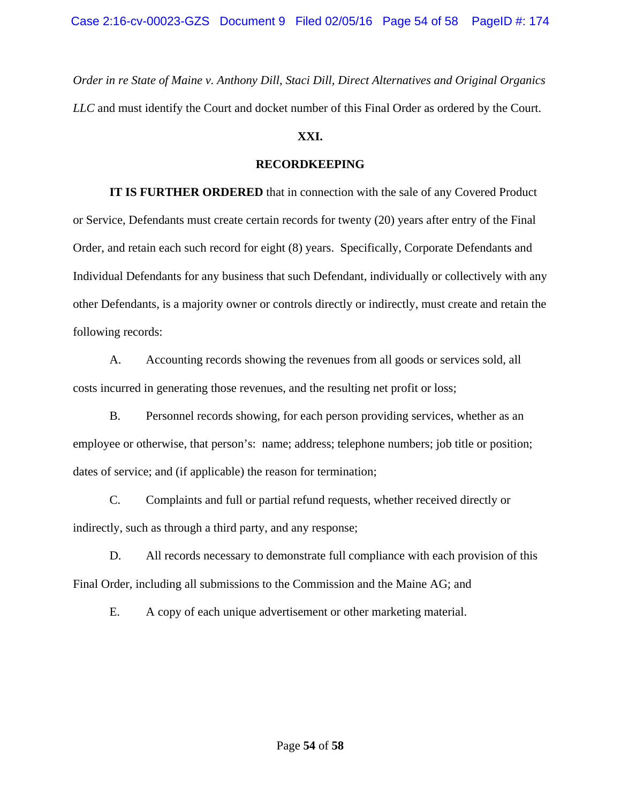*Order in re State of Maine v. Anthony Dill, Staci Dill, Direct Alternatives and Original Organics LLC* and must identify the Court and docket number of this Final Order as ordered by the Court.

# **XXI.**

# **RECORDKEEPING**

 **IT IS FURTHER ORDERED** that in connection with the sale of any Covered Product or Service, Defendants must create certain records for twenty (20) years after entry of the Final Order, and retain each such record for eight (8) years. Specifically, Corporate Defendants and Individual Defendants for any business that such Defendant, individually or collectively with any other Defendants, is a majority owner or controls directly or indirectly, must create and retain the following records:

A. Accounting records showing the revenues from all goods or services sold, all costs incurred in generating those revenues, and the resulting net profit or loss;

B. Personnel records showing, for each person providing services, whether as an employee or otherwise, that person's: name; address; telephone numbers; job title or position; dates of service; and (if applicable) the reason for termination;

C. Complaints and full or partial refund requests, whether received directly or indirectly, such as through a third party, and any response;

D. All records necessary to demonstrate full compliance with each provision of this Final Order, including all submissions to the Commission and the Maine AG; and

E. A copy of each unique advertisement or other marketing material.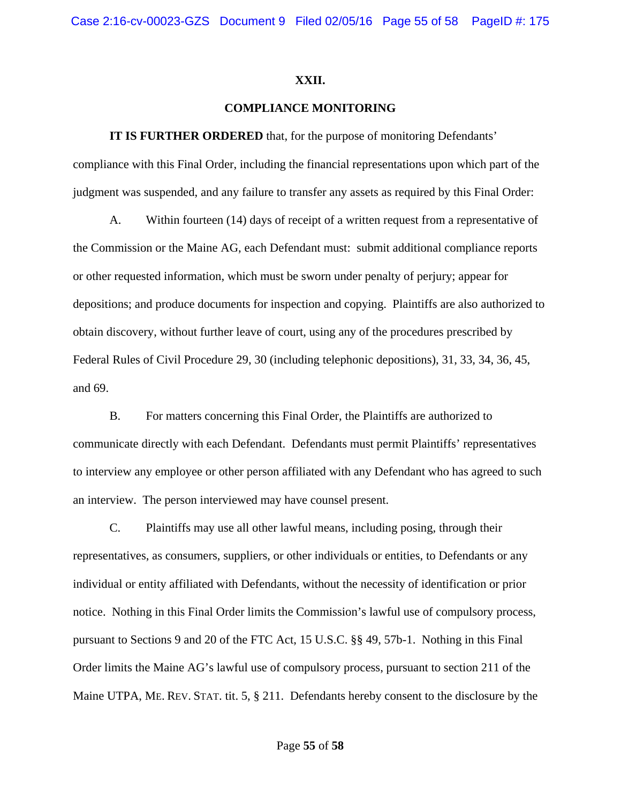#### **XXII.**

### **COMPLIANCE MONITORING**

**IT IS FURTHER ORDERED** that, for the purpose of monitoring Defendants' compliance with this Final Order, including the financial representations upon which part of the judgment was suspended, and any failure to transfer any assets as required by this Final Order:

A. Within fourteen (14) days of receipt of a written request from a representative of the Commission or the Maine AG, each Defendant must: submit additional compliance reports or other requested information, which must be sworn under penalty of perjury; appear for depositions; and produce documents for inspection and copying. Plaintiffs are also authorized to obtain discovery, without further leave of court, using any of the procedures prescribed by Federal Rules of Civil Procedure 29, 30 (including telephonic depositions), 31, 33, 34, 36, 45, and 69.

B. For matters concerning this Final Order, the Plaintiffs are authorized to communicate directly with each Defendant. Defendants must permit Plaintiffs' representatives to interview any employee or other person affiliated with any Defendant who has agreed to such an interview. The person interviewed may have counsel present.

C. Plaintiffs may use all other lawful means, including posing, through their representatives, as consumers, suppliers, or other individuals or entities, to Defendants or any individual or entity affiliated with Defendants, without the necessity of identification or prior notice. Nothing in this Final Order limits the Commission's lawful use of compulsory process, pursuant to Sections 9 and 20 of the FTC Act, 15 U.S.C. §§ 49, 57b-1. Nothing in this Final Order limits the Maine AG's lawful use of compulsory process, pursuant to section 211 of the Maine UTPA, ME. REV. STAT. tit. 5, § 211. Defendants hereby consent to the disclosure by the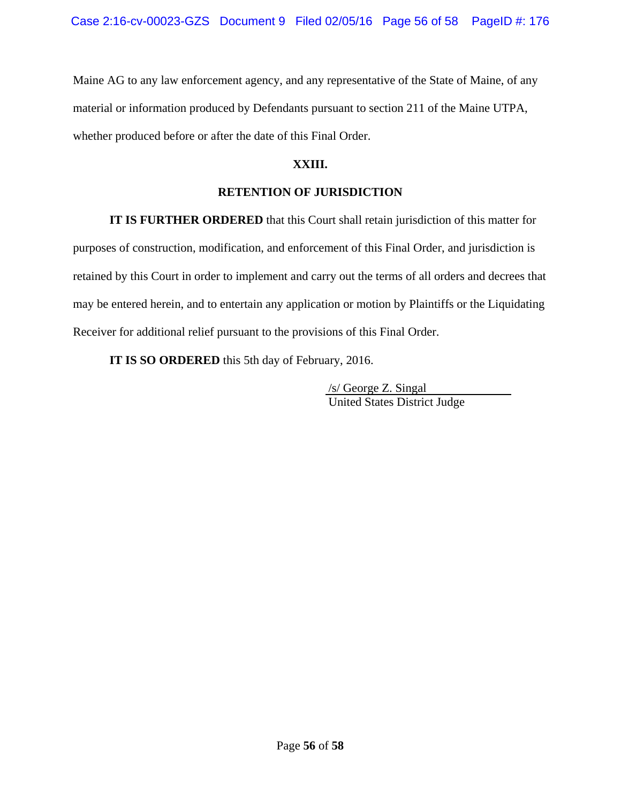Maine AG to any law enforcement agency, and any representative of the State of Maine, of any material or information produced by Defendants pursuant to section 211 of the Maine UTPA, whether produced before or after the date of this Final Order.

# **XXIII.**

# **RETENTION OF JURISDICTION**

**IT IS FURTHER ORDERED** that this Court shall retain jurisdiction of this matter for

purposes of construction, modification, and enforcement of this Final Order, and jurisdiction is retained by this Court in order to implement and carry out the terms of all orders and decrees that may be entered herein, and to entertain any application or motion by Plaintiffs or the Liquidating Receiver for additional relief pursuant to the provisions of this Final Order.

**IT IS SO ORDERED** this 5th day of February, 2016.

 /s/ George Z. Singal United States District Judge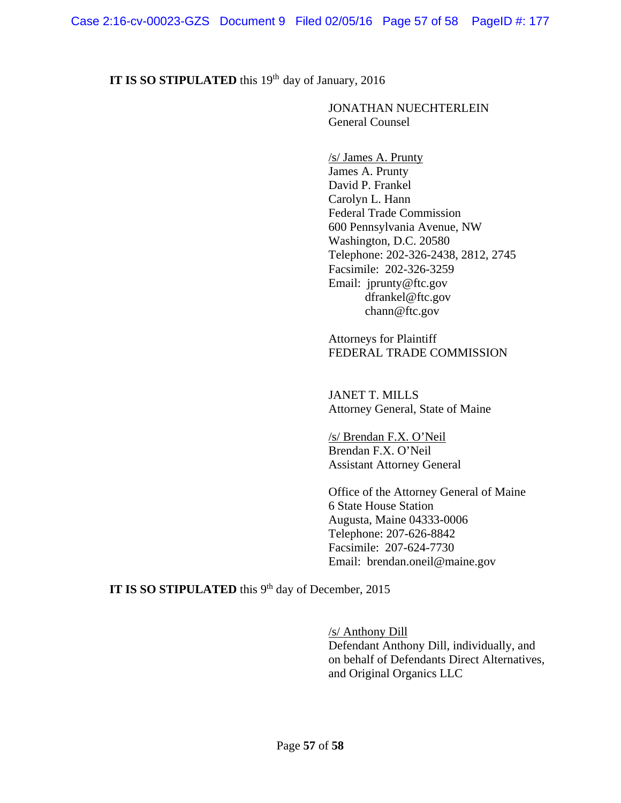# **IT IS SO STIPULATED** this 19<sup>th</sup> day of January, 2016

# JONATHAN NUECHTERLEIN General Counsel

 /s/ James A. Prunty James A. Prunty David P. Frankel Carolyn L. Hann Federal Trade Commission 600 Pennsylvania Avenue, NW Washington, D.C. 20580 Telephone: 202-326-2438, 2812, 2745 Facsimile: 202-326-3259 Email: jprunty@ftc.gov dfrankel@ftc.gov chann@ftc.gov

 Attorneys for Plaintiff FEDERAL TRADE COMMISSION

 JANET T. MILLS Attorney General, State of Maine

 /s/ Brendan F.X. O'Neil Brendan F.X. O'Neil Assistant Attorney General

 Office of the Attorney General of Maine 6 State House Station Augusta, Maine 04333-0006 Telephone: 207-626-8842 Facsimile: 207-624-7730 Email: brendan.oneil@maine.gov

# **IT IS SO STIPULATED** this 9<sup>th</sup> day of December, 2015

 /s/ Anthony Dill Defendant Anthony Dill, individually, and on behalf of Defendants Direct Alternatives, and Original Organics LLC